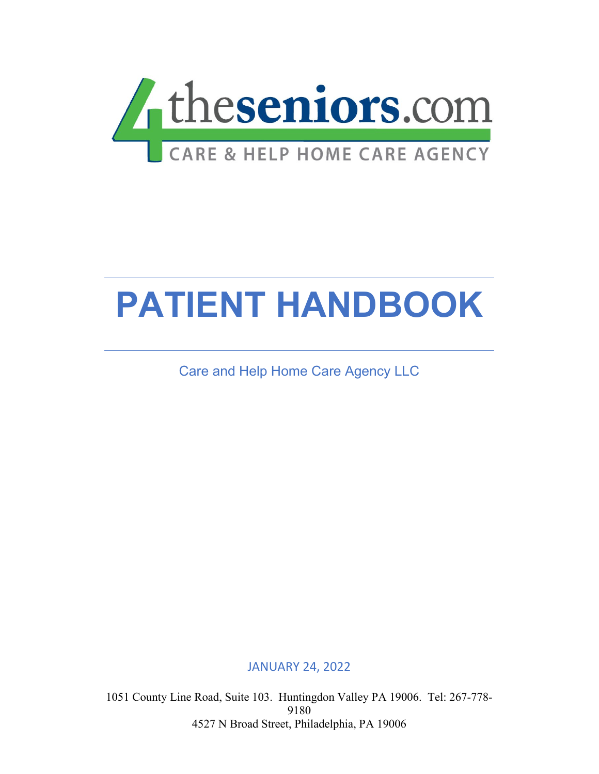

# **PATIENT HANDBOOK**

Care and Help Home Care Agency LLC

JANUARY 24, 2022

1051 County Line Road, Suite 103. Huntingdon Valley PA 19006. Tel: 267-778- 9180 4527 N Broad Street, Philadelphia, PA 19006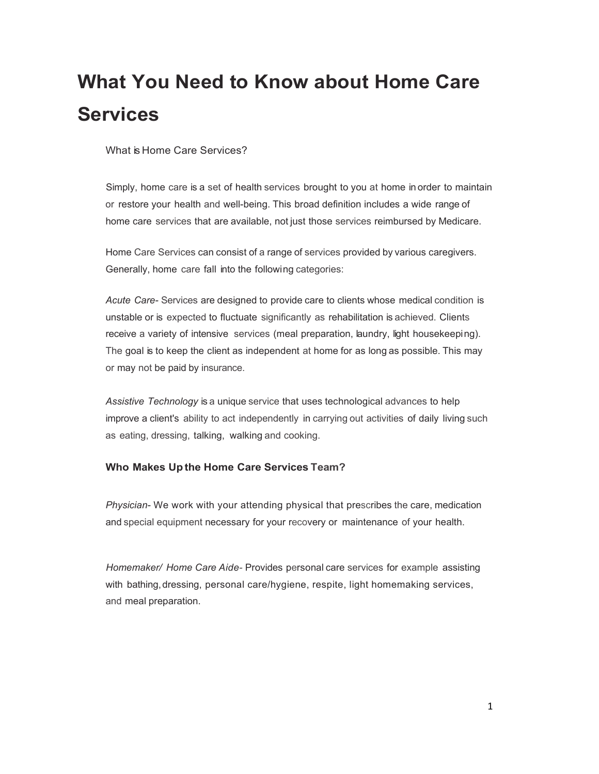## **What You Need to Know about Home Care Services**

What is Home Care Services?

Simply, home care is a set of health services brought to you at home in order to maintain or restore your health and well-being. This broad definition includes a wide range of home care services that are available, not just those services reimbursed by Medicare.

Home Care Services can consist of a range of services provided by various caregivers. Generally, home care fall into the following categories:

*Acute Care-* Services are designed to provide care to clients whose medical condition is unstable or is expected to fluctuate significantly as rehabilitation is achieved. Clients receive a variety of intensive services (meal preparation, laundry, light housekeeping). The goal is to keep the client as independent at home for as long as possible. This may or may not be paid by insurance.

*Assistive Technology* is a unique service that uses technological advances to help improve a client's ability to act independently in carrying out activities of daily living such as eating, dressing, talking, walking and cooking.

### **Who Makes Up the Home Care Services Team?**

*Physician-* We work with your attending physical that prescribes the care, medication and special equipment necessary for your recovery or maintenance of your health.

*Homemaker/ Home Care Aide-* Provides personal care services for example assisting with bathing, dressing, personal care/hygiene, respite, light homemaking services, and meal preparation.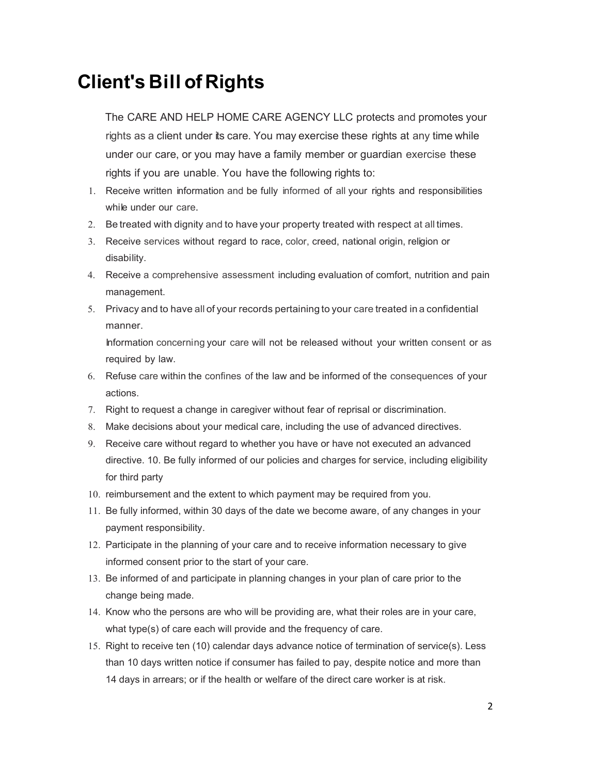### **Client's Bill of Rights**

The CARE AND HELP HOME CARE AGENCY LLC protects and promotes your rights as a client under its care. You may exercise these rights at any time while under our care, or you may have a family member or guardian exercise these rights if you are unable. You have the following rights to:

- 1. Receive written information and be fully informed of all your rights and responsibilities while under our care.
- 2. Be treated with dignity and to have your property treated with respect at all times.
- 3. Receive services without regard to race, color, creed, national origin, religion or disability.
- 4. Receive a comprehensive assessment including evaluation of comfort, nutrition and pain management.
- 5. Privacy and to have all of your records pertaining to your care treated in a confidential manner.

Information concerning your care will not be released without your written consent or as required by law.

- 6. Refuse care within the confines of the law and be informed of the consequences of your actions.
- 7. Right to request a change in caregiver without fear of reprisal or discrimination.
- 8. Make decisions about your medical care, including the use of advanced directives.
- 9. Receive care without regard to whether you have or have not executed an advanced directive. 10. Be fully informed of our policies and charges for service, including eligibility for third party
- 10. reimbursement and the extent to which payment may be required from you.
- 11. Be fully informed, within 30 days of the date we become aware, of any changes in your payment responsibility.
- 12. Participate in the planning of your care and to receive information necessary to give informed consent prior to the start of your care.
- 13. Be informed of and participate in planning changes in your plan of care prior to the change being made.
- 14. Know who the persons are who will be providing are, what their roles are in your care, what type(s) of care each will provide and the frequency of care.
- 15. Right to receive ten (10) calendar days advance notice of termination of service(s). Less than 10 days written notice if consumer has failed to pay, despite notice and more than 14 days in arrears; or if the health or welfare of the direct care worker is at risk.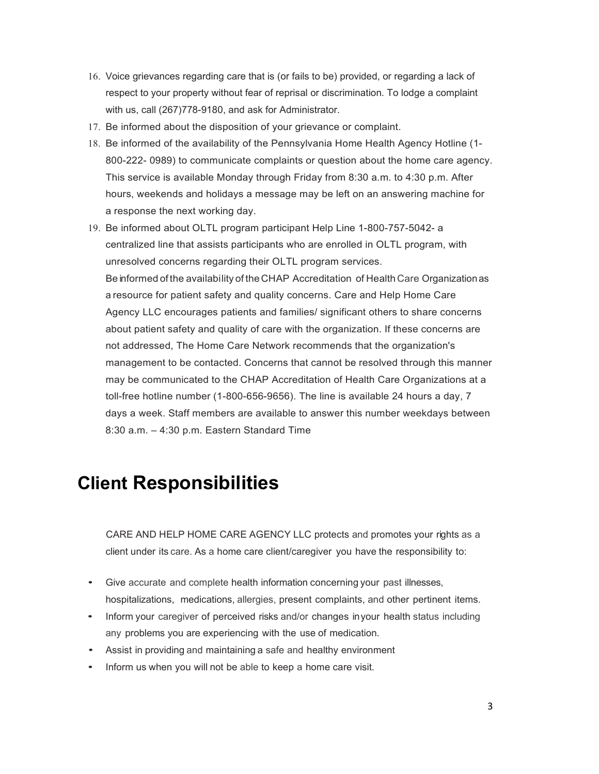- 16. Voice grievances regarding care that is (or fails to be) provided, or regarding a lack of respect to your property without fear of reprisal or discrimination. To lodge a complaint with us, call (267)778-9180, and ask for Administrator.
- 17. Be informed about the disposition of your grievance or complaint.
- 18. Be informed of the availability of the Pennsylvania Home Health Agency Hotline (1- 800-222- 0989) to communicate complaints or question about the home care agency. This service is available Monday through Friday from 8:30 a.m. to 4:30 p.m. After hours, weekends and holidays a message may be left on an answering machine for a response the next working day.
- 19. Be informed about OLTL program participant Help Line 1-800-757-5042- a centralized line that assists participants who are enrolled in OLTL program, with unresolved concerns regarding their OLTL program services. Be informed of the availability of the CHAP Accreditation of Health Care Organizationas a resource for patient safety and quality concerns. Care and Help Home Care Agency LLC encourages patients and families/ significant others to share concerns about patient safety and quality of care with the organization. If these concerns are not addressed, The Home Care Network recommends that the organization's management to be contacted. Concerns that cannot be resolved through this manner may be communicated to the CHAP Accreditation of Health Care Organizations at a toll-free hotline number (1-800-656-9656). The line is available 24 hours a day, 7 days a week. Staff members are available to answer this number weekdays between 8:30 a.m. – 4:30 p.m. Eastern Standard Time

### **Client Responsibilities**

CARE AND HELP HOME CARE AGENCY LLC protects and promotes your rights as a client under its care. As a home care client/caregiver you have the responsibility to:

- Give accurate and complete health information concerning your past illnesses, hospitalizations, medications, allergies, present complaints, and other pertinent items.
- Inform your caregiver of perceived risks and/or changes inyour health status including any problems you are experiencing with the use of medication.
- Assist in providing and maintaining a safe and healthy environment
- Inform us when you will not be able to keep a home care visit.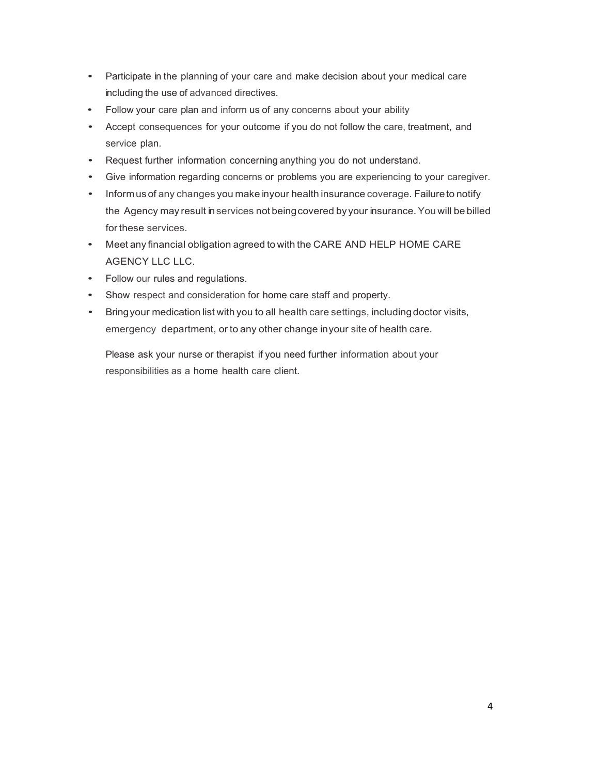- Participate in the planning of your care and make decision about your medical care including the use of advanced directives.
- Follow your care plan and inform us of any concerns about your ability
- Accept consequences for your outcome if you do not follow the care, treatment, and service plan.
- Request further information concerning anything you do not understand.
- Give information regarding concerns or problems you are experiencing to your caregiver.
- Inform us of any changes you make inyour health insurance coverage. Failure to notify the Agency may result in services not being covered by your insurance. You will be billed for these services.
- Meet any financial obligation agreed to with the CARE AND HELP HOME CARE AGENCY LLC LLC.
- Follow our rules and regulations.
- Show respect and consideration for home care staff and property.
- Bring your medication list with you to all health care settings, including doctor visits, emergency department, or to any other change inyour site of health care.

Please ask your nurse or therapist if you need further information about your responsibilities as a home health care client.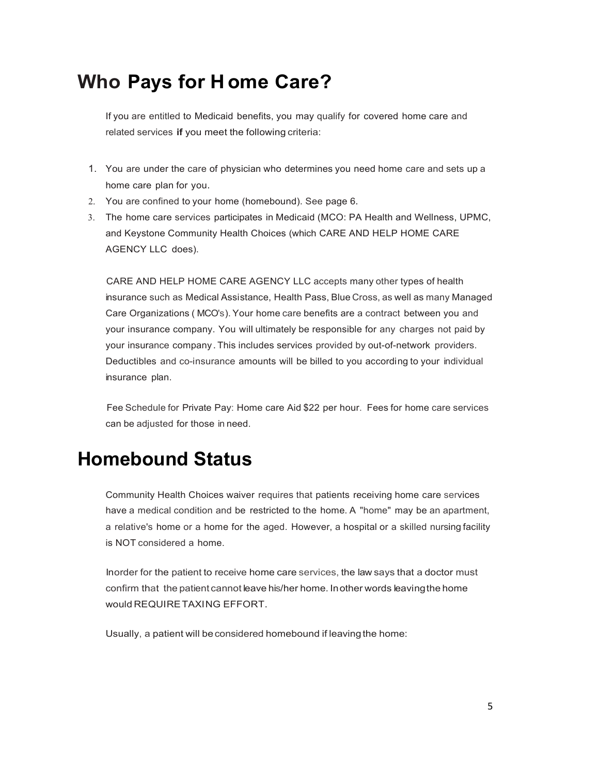### **Who Pays for H ome Care?**

If you are entitled to Medicaid benefits, you may qualify for covered home care and related services **if** you meet the following criteria:

- 1. You are under the care of physician who determines you need home care and sets up a home care plan for you.
- 2. You are confined to your home (homebound). See page 6.
- 3. The home care services participates in Medicaid (MCO: PA Health and Wellness, UPMC, and Keystone Community Health Choices (which CARE AND HELP HOME CARE AGENCY LLC does).

CARE AND HELP HOME CARE AGENCY LLC accepts many other types of health insurance such as Medical Assistance, Health Pass, Blue Cross, as well as many Managed Care Organizations ( MCO's). Your home care benefits are a contract between you and your insurance company. You will ultimately be responsible for any charges not paid by your insurance company . This includes services provided by out-of-network providers. Deductibles and co-insurance amounts will be billed to you according to your individual insurance plan.

Fee Schedule for Private Pay: Home care Aid \$22 per hour. Fees for home care services can be adjusted for those in need.

### **Homebound Status**

Community Health Choices waiver requires that patients receiving home care services have a medical condition and be restricted to the home. A "home" may be an apartment, a relative's home or a home for the aged. However, a hospital or a skilled nursing facility is NOT considered a home.

Inorder for the patient to receive home care services, the law says that a doctor must confirm that the patient cannot leave his/her home. In other words leaving the home would REQUIRETAXING EFFORT.

Usually, a patient will be considered homebound if leaving the home: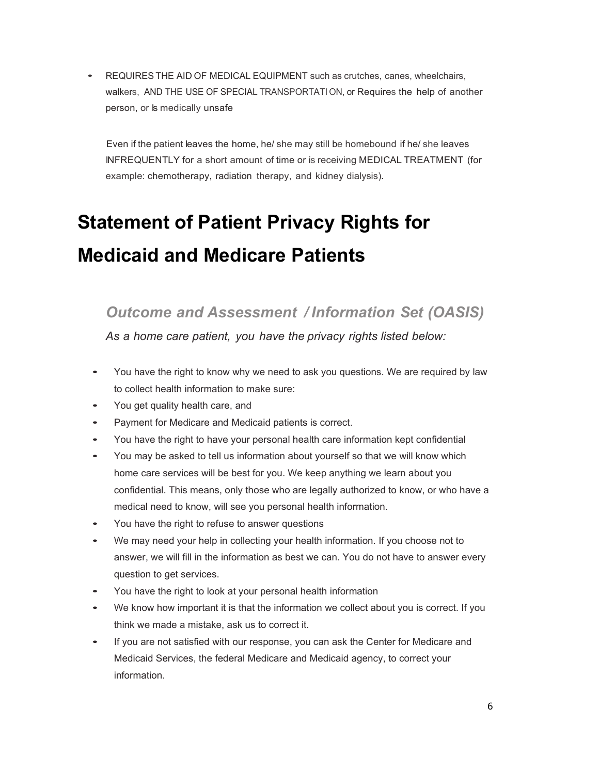• REQUIRES THE AID OF MEDICAL EQUIPMENT such as crutches, canes, wheelchairs, walkers, AND THE USE OF SPECIAL TRANSPORTATI ON, or Requires the help of another person, or **b** medically unsafe

Even if the patient leaves the home, he/ she may still be homebound if he/ she leaves INFREQUENTLY for a short amount of time or is receiving MEDICAL TREATMENT (for example: chemotherapy, radiation therapy, and kidney dialysis).

## **Statement of Patient Privacy Rights for Medicaid and Medicare Patients**

*Outcome and Assessment / Information Set (OASIS)*

*As a home care patient, you have the privacy rights listed below:*

- You have the right to know why we need to ask you questions. We are required by law to collect health information to make sure:
- You get quality health care, and
- Payment for Medicare and Medicaid patients is correct.
- You have the right to have your personal health care information kept confidential
- You may be asked to tell us information about yourself so that we will know which home care services will be best for you. We keep anything we learn about you confidential. This means, only those who are legally authorized to know, or who have a medical need to know, will see you personal health information.
- You have the right to refuse to answer questions
- We may need your help in collecting your health information. If you choose not to answer, we will fill in the information as best we can. You do not have to answer every question to get services.
- You have the right to look at your personal health information
- We know how important it is that the information we collect about you is correct. If you think we made a mistake, ask us to correct it.
- If you are not satisfied with our response, you can ask the Center for Medicare and Medicaid Services, the federal Medicare and Medicaid agency, to correct your information.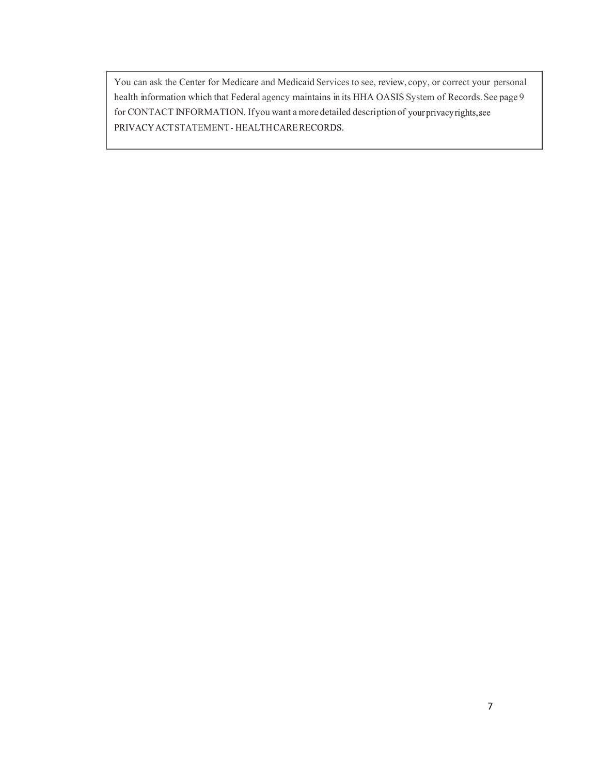You can ask the Center for Medicare and Medicaid Services to see, review, copy, or correct your personal health information which that Federal agency maintains in its HHA OASIS System of Records. See page 9 for CONTACT INFORMATION. Ifyou want a more detailed description ofPRIVACY ACT STATEMENT - HEALTH CARE RECORDS.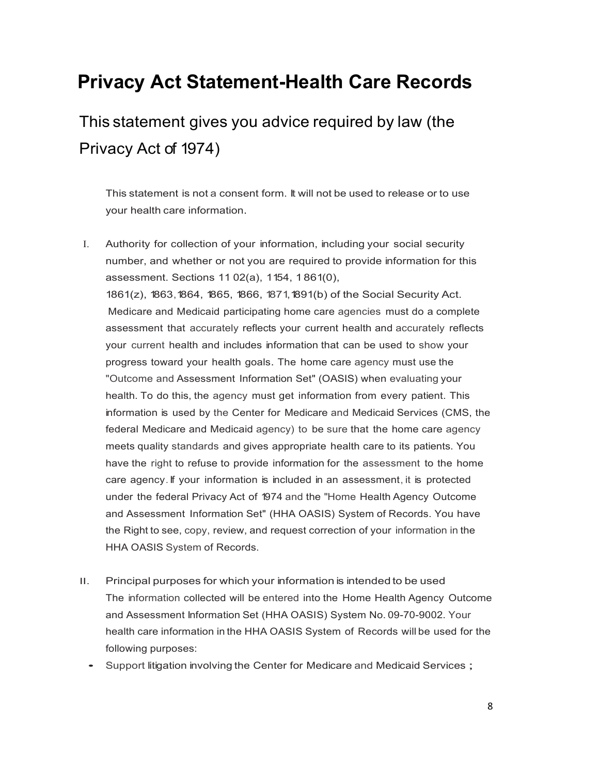### **Privacy Act Statement-Health Care Records**

This statement gives you advice required by law (the Privacy Act of 1974)

This statement is not a consent form. It will not be used to release or to use your health care information.

- I. Authority for collection of your information, including your social security number, and whether or not you are required to provide information for this assessment. Sections 11 02(a), 1154, 1 861(0), 1861(z), 1863, 1864, 1865, 1866, 1871, 1891(b) of the Social Security Act. Medicare and Medicaid participating home care agencies must do a complete assessment that accurately reflects your current health and accurately reflects your current health and includes information that can be used to show your progress toward your health goals. The home care agency must use the "Outcome and Assessment Information Set" (OASIS) when evaluating your health. To do this, the agency must get information from every patient. This information is used by the Center for Medicare and Medicaid Services (CMS, the federal Medicare and Medicaid agency) to be sure that the home care agency meets quality standards and gives appropriate health care to its patients. You have the right to refuse to provide information for the assessment to the home care agency.If your information is included in an assessment, it is protected under the federal Privacy Act of 1974 and the "Home Health Agency Outcome and Assessment Information Set" (HHA OASIS) System of Records. You have the Right to see, copy, review, and request correction of your information in the HHA OASIS System of Records.
- II. Principal purposes for which your information is intended to be used The information collected will be entered into the Home Health Agency Outcome and Assessment Information Set (HHA OASIS) System No. 09-70-9002. Your health care information in the HHA OASIS System of Records will be used for the following purposes:
	- Support litigation involving the Center for Medicare and Medicaid Services ;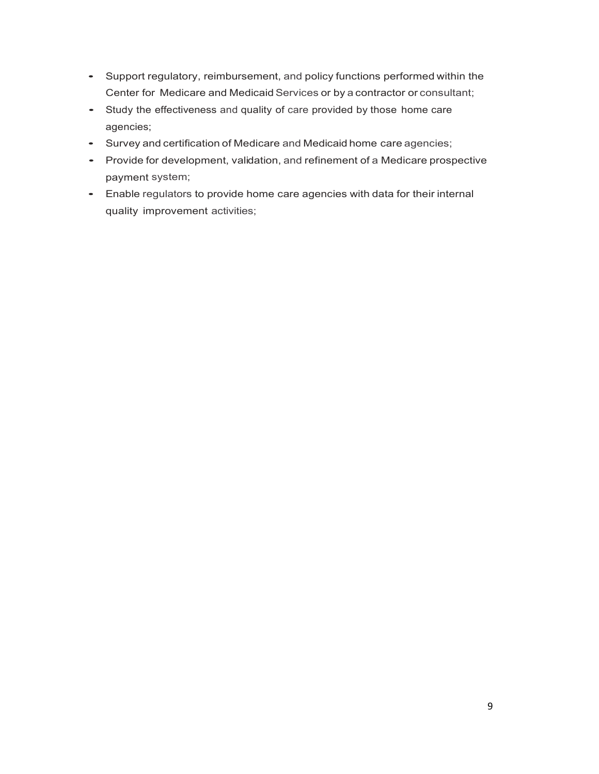- Support regulatory, reimbursement, and policy functions performed within the Center for Medicare and Medicaid Services or by a contractor or consultant;
- Study the effectiveness and quality of care provided by those home care agencies;
- Survey and certification of Medicare and Medicaid home care agencies;
- Provide for development, validation, and refinement of <sup>a</sup> Medicare prospective payment system;
- Enable regulators to provide home care agencies with data for their internal quality improvement activities;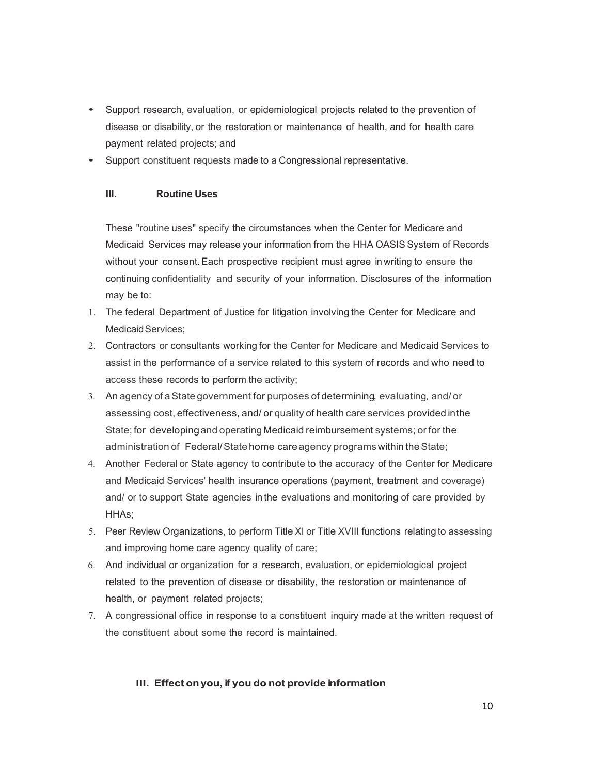- Support research, evaluation, or epidemiological projects related to the prevention of disease or disability, or the restoration or maintenance of health, and for health care payment related projects; and
- Support constituent requests made to a Congressional representative.

### **Ill. Routine Uses**

These "routine uses" specify the circumstances when the Center for Medicare and Medicaid Services may release your information from the HHA OASIS System of Records without your consent.Each prospective recipient must agree in writing to ensure the continuing confidentiality and security of your information. Disclosures of the information may be to:

- 1. The federal Department of Justice for litigation involving the Center for Medicare and Medicaid Services:
- 2. Contractors or consultants working for the Center for Medicare and Medicaid Services to assist in the performance of a service related to this system of records and who need to access these records to perform the activity;
- 3. An agency of aState government for purposes of determining, evaluating, and/ or assessing cost, effectiveness, and/ or quality of health care services provided inthe State; for developingand operating Medicaid reimbursement systems; or for the administration of Federal/State home care agency programs within the State;
- 4. Another Federal or State agency to contribute to the accuracy of the Center for Medicare and Medicaid Services' health insurance operations (payment, treatment and coverage) and/ or to support State agencies in the evaluations and monitoring of care provided by HHAs;
- 5. Peer Review Organizations, to perform Title XI or Title XVIII functions relating to assessing and improving home care agency quality of care;
- 6. And individual or organization for a research, evaluation, or epidemiological project related to the prevention of disease or disability, the restoration or maintenance of health, or payment related projects;
- 7. A congressional office in response to a constituent inquiry made at the written request of the constituent about some the record is maintained.

### **III. Effect onyou, if you do not provide information**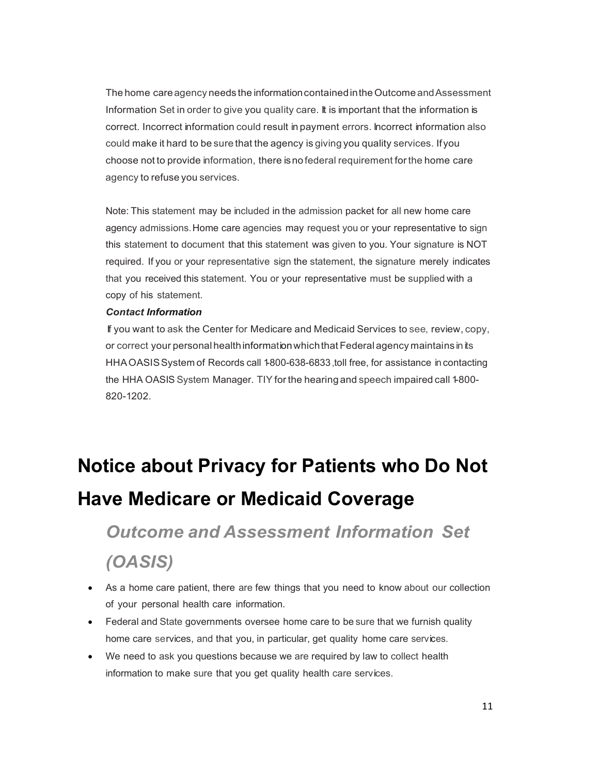The home care agency needs the information contained in the Outcome and Assessment Information Set in order to give you quality care. It is important that the information is correct. Incorrect information could result in payment errors. Incorrect information also could make it hard to be sure that the agency is giving you quality services. Ifyou choose not to provide information, there isno federal requirement forthe home care agency to refuse you services.

Note: This statement may be included in the admission packet for all new home care agency admissions.Home care agencies may request you or your representative to sign this statement to document that this statement was given to you. Your signature is NOT required. If you or your representative sign the statement, the signature merely indicates that you received this statement. You or your representative must be supplied with a copy of his statement.

### *Contact Information*

If you want to ask the Center for Medicare and Medicaid Services to see, review, copy, or correct your personal healthinformationwhichthat Federal agency maintains in its HHA OASIS System of Records call 1800-638-6833, toll free, for assistance in contacting the HHA OASIS System Manager. TIY for the hearing and speech impaired call 1-800- 820-1202.

## **Notice about Privacy for Patients who Do Not Have Medicare or Medicaid Coverage**

## *Outcome and Assessment Information Set (OASIS)*

- As a home care patient, there are few things that you need to know about our collection of your personal health care information.
- Federal and State governments oversee home care to be sure that we furnish quality home care services, and that you, in particular, get quality home care services.
- We need to ask you questions because we are required by law to collect health information to make sure that you get quality health care services.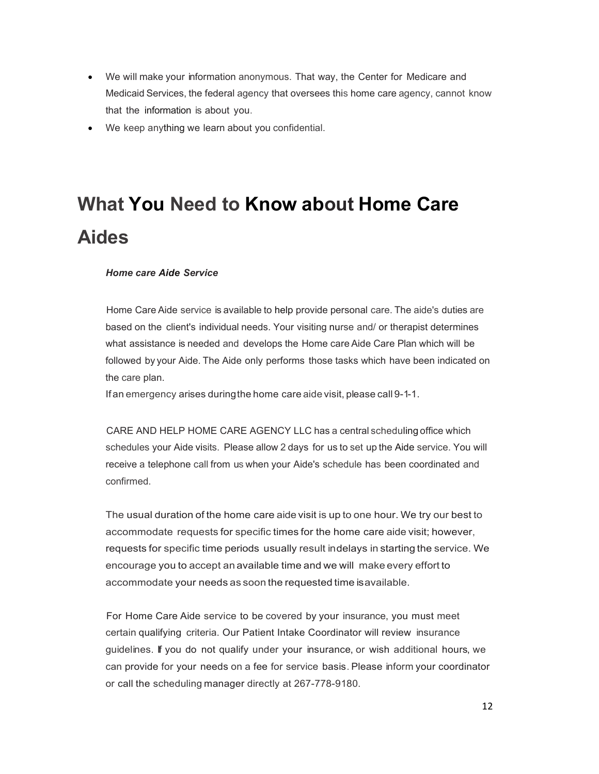- We will make your information anonymous. That way, the Center for Medicare and Medicaid Services, the federal agency that oversees this home care agency, cannot know that the information is about you.
- We keep anything we learn about you confidential.

## **What You Need to Know about Home Care Aides**

*Home care Aide Service*

Home Care Aide service is available to help provide personal care. The aide's duties are based on the client's individual needs. Your visiting nurse and/ or therapist determines what assistance is needed and develops the Home care Aide Care Plan which will be followed by your Aide. The Aide only performs those tasks which have been indicated on the care plan.

If an emergency arises duringthe home care aide visit, please call 9-1-1.

CARE AND HELP HOME CARE AGENCY LLC has a central scheduling office which schedules your Aide visits. Please allow 2 days for us to set up the Aide service. You will receive a telephone call from us when your Aide's schedule has been coordinated and confirmed.

The usual duration of the home care aide visit is up to one hour. We try our best to accommodate requests for specific times for the home care aide visit; however, requests for specific time periods usually result indelays in starting the service. We encourage you to accept an available time and we will make every effort to accommodate your needs as soon the requested time isavailable.

For Home Care Aide service to be covered by your insurance, you must meet certain qualifying criteria. Our Patient Intake Coordinator will review insurance guidelines. If you do not qualify under your insurance, or wish additional hours, we can provide for your needs on a fee for service basis. Please inform your coordinator or call the scheduling manager directly at 267-778-9180.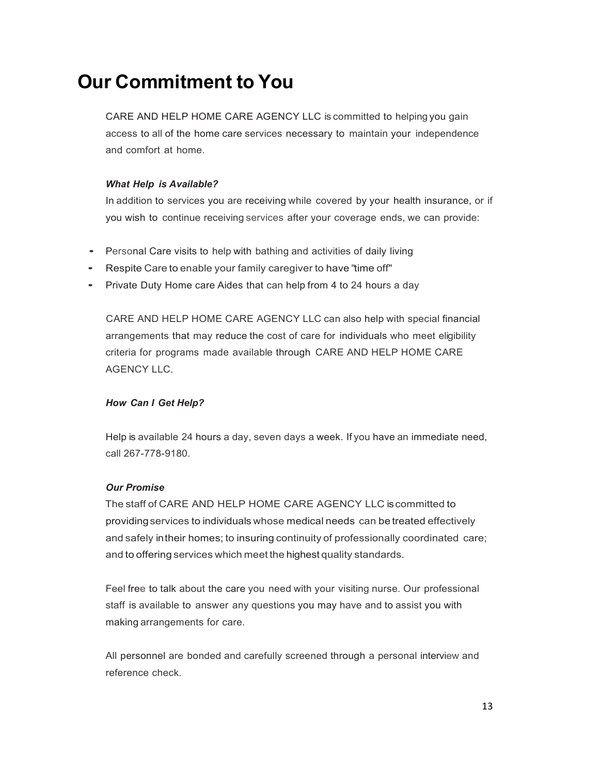## **Our Commitment to You**

CARE AND HELP HOME CARE AGENCY LLC is committed to helping you gain access to all of the home care services necessary to maintain your independence and comfort at home.

### *What Help is Available?*

In addition to services you are receiving while covered by your health insurance, or if you wish to continue receiving services after your coverage ends, we can provide:

- Personal Care visits to help with bathing and activities of daily living
- Respite Care to enable your family caregiver to have "time off"
- Private Duty Home care Aides that can help from <sup>4</sup> to <sup>24</sup> hours <sup>a</sup> day

CARE AND HELP HOME CARE AGENCY LLC can also help with special financial arrangements that may reduce the cost of care for individuals who meet eligibility criteria for programs made available through CARE AND HELP HOME CARE AGENCY LLC.

### *How Can I Get Help?*

Help is available 24 hours a day, seven days a week. If you have an immediate need, call 267-778-9180.

### *Our Promise*

The staff of CARE AND HELP HOME CARE AGENCY LLC iscommitted to providingservices to individuals whose medical needs can be treated effectively and safely intheir homes; to insuring continuity of professionally coordinated care; and to offering services which meet the highest quality standards.

Feel free to talk about the care you need with your visiting nurse. Our professional staff is available to answer any questions you may have and to assist you with making arrangements for care.

All personnel are bonded and carefully screened through a personal interview and reference check.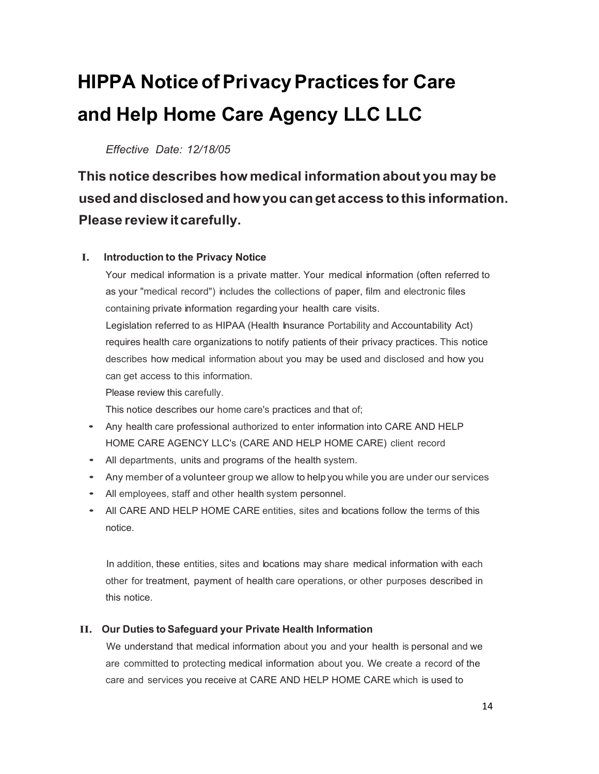## **HIPPA NoticeofPrivacyPractices for Care and Help Home Care Agency LLC LLC**

*Effective Date: 12/18/05*

**This notice describes how medical information about you may be used and disclosed and howyou canget access tothis information. Please review itcarefully.**

### **I. Introduction to the Privacy Notice**

Your medical information is a private matter. Your medical information (often referred to as your "medical record") includes the collections of paper, film and electronic files containing private information regarding your health care visits. Legislation referred to as HIPAA (Health Insurance Portability and Accountability Act) requires health care organizations to notify patients of their privacy practices. This notice describes how medical information about you may be used and disclosed and how you can get access to this information. Please review this carefully.

This notice describes our home care's practices and that of;

- Any health care professional authorized to enter information into CARE AND HELP HOME CARE AGENCY LLC's (CARE AND HELP HOME CARE) client record
- All departments, units and programs of the health system.
- Any member of <sup>a</sup> volunteer group we allow to helpyou while you are under our services
- All employees, staff and other health system personnel.
- All CARE AND HELP HOME CARE entities, sites and locations follow the terms of this notice.

In addition, these entities, sites and locations may share medical information with each other for treatment, payment of health care operations, or other purposes described in this notice.

### **II. Our Duties to Safeguard your Private Health Information**

We understand that medical information about you and your health is personal and we are committed to protecting medical information about you. We create a record of the care and services you receive at CARE AND HELP HOME CARE which is used to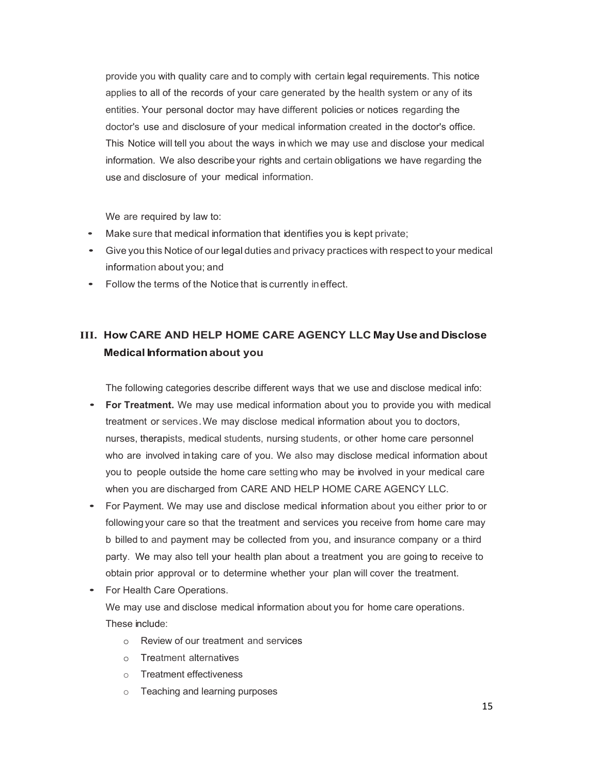provide you with quality care and to comply with certain legal requirements. This notice applies to all of the records of your care generated by the health system or any of its entities. Your personal doctor may have different policies or notices regarding the doctor's use and disclosure of your medical information created in the doctor's office. This Notice will tell you about the ways in which we may use and disclose your medical information. We also describe your rights and certain obligations we have regarding the use and disclosure of your medical information.

We are required by law to:

- Make sure that medical information that identifies you is kept private;
- Give you this Notice of our legal duties and privacy practices with respect to your medical information about you; and
- Follow the terms of the Notice that is currently ineffect.

### **III. How CARE AND HELP HOME CARE AGENCY LLC MayUse and Disclose Medical Informationabout you**

The following categories describe different ways that we use and disclose medical info:

- **For Treatment.** We may use medical information about you to provide you with medical treatment or services.We may disclose medical information about you to doctors, nurses, therapists, medical students, nursing students, or other home care personnel who are involved intaking care of you. We also may disclose medical information about you to people outside the home care setting who may be involved in your medical care when you are discharged from CARE AND HELP HOME CARE AGENCY LLC.
- For Payment. We may use and disclose medical information about you either prior to or following your care so that the treatment and services you receive from home care may b billed to and payment may be collected from you, and insurance company or a third party. We may also tell your health plan about a treatment you are going to receive to obtain prior approval or to determine whether your plan will cover the treatment.
- For Health Care Operations.

We may use and disclose medical information about you for home care operations. These include:

- o Review of our treatment and services
- o Treatment alternatives
- o Treatment effectiveness
- o Teaching and learning purposes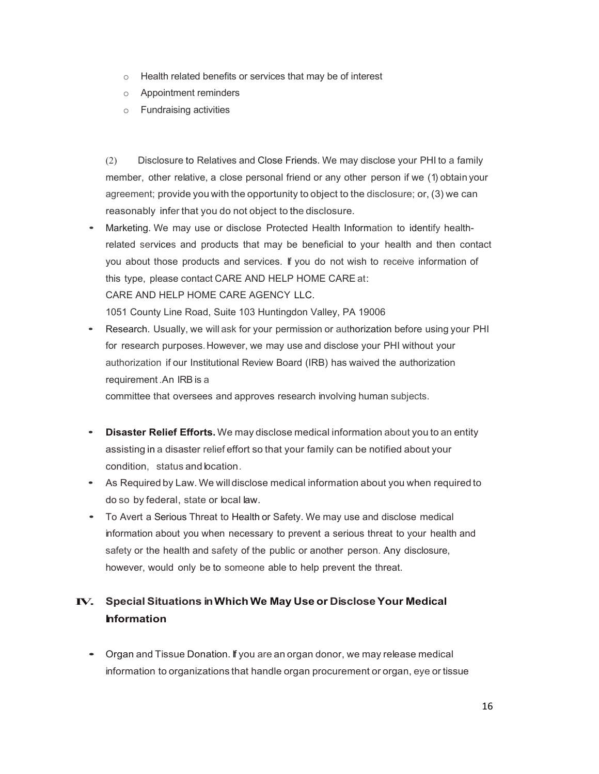- o Health related benefits or services that may be of interest
- o Appointment reminders
- o Fundraising activities

(2) Disclosure to Relatives and Close Friends. We may disclose your PHI to a family member, other relative, a close personal friend or any other person if we (1) obtain your agreement; provide you with the opportunity to object to the disclosure; or, (3) we can reasonably infer that you do not object to the disclosure.

• Marketing. We may use or disclose Protected Health Information to identify healthrelated services and products that may be beneficial to your health and then contact you about those products and services. If you do not wish to receive information of this type, please contact CARE AND HELP HOME CARE at: CARE AND HELP HOME CARE AGENCY LLC.

1051 County Line Road, Suite 103 Huntingdon Valley, PA 19006

• Research. Usually, we will ask for your permission or authorization before using your PHI for research purposes.However, we may use and disclose your PHI without your authorization if our Institutional Review Board (IRB) has waived the authorization requirement .An IRB is a

committee that oversees and approves research involving human subjects.

- **Disaster Relief Efforts.** We may disclose medical information about you to an entity assisting in a disaster relief effort so that your family can be notified about your condition, status and location.
- As Required by Law. We will disclose medical information about you when required to do so by federal, state or local law.
- To Avert <sup>a</sup> Serious Threat to Health or Safety. We may use and disclose medical information about you when necessary to prevent a serious threat to your health and safety or the health and safety of the public or another person. Any disclosure, however, would only be to someone able to help prevent the threat.

### **IV. Special Situations inWhichWe May Use or DiscloseYour Medical Information**

• Organ and Tissue Donation. If you are an organ donor, we may release medical information to organizations that handle organ procurement or organ, eye or tissue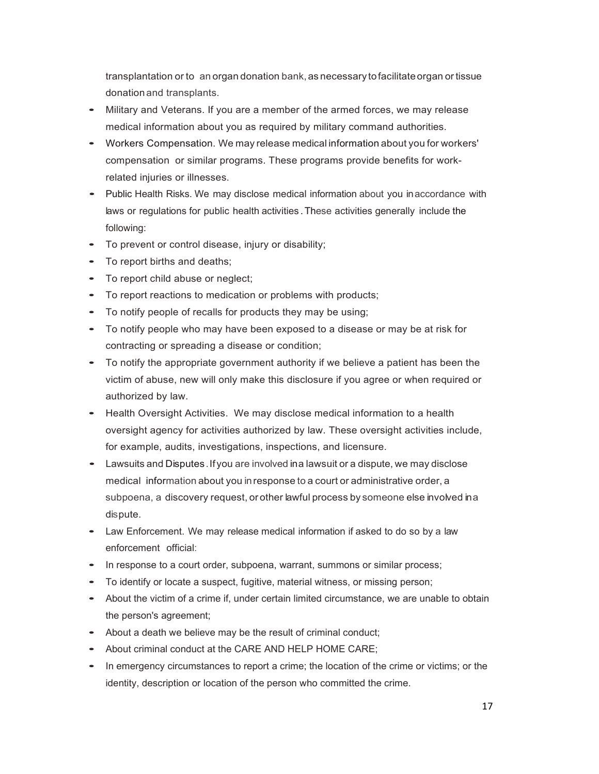transplantation or to an organ donation bank, as necessary to facilitate organ or tissue donation and transplants.

- Military and Veterans. If you are a member of the armed forces, we may release medical information about you as required by military command authorities.
- Workers Compensation. We may release medical information about you for workers' compensation or similar programs. These programs provide benefits for workrelated injuries or illnesses.
- Public Health Risks. We may disclose medical information about you inaccordance with laws or regulations for public health activities .These activities generally include the following:
- To prevent or control disease, injury or disability;
- To report births and deaths;
- To report child abuse or neglect;
- To report reactions to medication or problems with products;
- To notify people of recalls for products they may be using;
- To notify people who may have been exposed to a disease or may be at risk for contracting or spreading a disease or condition;
- To notify the appropriate government authority if we believe a patient has been the victim of abuse, new will only make this disclosure if you agree or when required or authorized by law.
- Health Oversight Activities. We may disclose medical information to a health oversight agency for activities authorized by law. These oversight activities include, for example, audits, investigations, inspections, and licensure.
- Lawsuits and Disputes.Ifyou are involved ina lawsuit or <sup>a</sup> dispute, we may disclose medical information about you inresponse to a court or administrative order, a subpoena, a discovery request, or other lawful process by someone else involved ina dispute.
- Law Enforcement. We may release medical information if asked to do so by <sup>a</sup> law enforcement official:
- In response to a court order, subpoena, warrant, summons or similar process;
- To identify or locate a suspect, fugitive, material witness, or missing person;
- About the victim of a crime if, under certain limited circumstance, we are unable to obtain the person's agreement;
- About a death we believe may be the result of criminal conduct;
- About criminal conduct at the CARE AND HELP HOME CARE;
- In emergency circumstances to report a crime; the location of the crime or victims; or the identity, description or location of the person who committed the crime.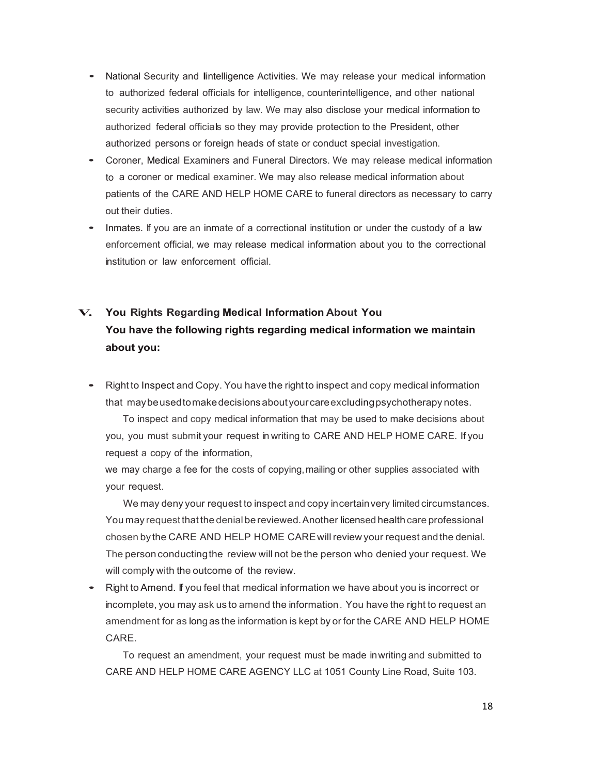- National Security and Iintelligence Activities. We may release your medical information to authorized federal officials for intelligence, counterintelligence, and other national security activities authorized by law. We may also disclose your medical information to authorized federal officials so they may provide protection to the President, other authorized persons or foreign heads of state or conduct special investigation.
- Coroner, Medical Examiners and Funeral Directors. We may release medical information to a coroner or medical examiner. We may also release medical information about patients of the CARE AND HELP HOME CARE to funeral directors as necessary to carry out their duties.
- Inmates. If you are an inmate of <sup>a</sup> correctional institution or under the custody of <sup>a</sup> law enforcement official, we may release medical information about you to the correctional institution or law enforcement official.

### **V. You Rights Regarding Medical Information About You You have the following rights regarding medical information we maintain about you:**

• Right to Inspect and Copy. You have the right to inspect and copy medical information that maybeusedtomakedecisionsaboutyourcareexcludingpsychotherapy notes.

To inspect and copy medical information that may be used to make decisions about you, you must submit your request in writing to CARE AND HELP HOME CARE. If you request a copy of the information,

we may charge a fee for the costs of copying, mailing or other supplies associated with your request.

We may deny your request to inspect and copy incertain very limited circumstances. You may request that the denial bereviewed.Another licensed health care professional chosen by the CARE AND HELP HOME CARE will review your request and the denial. The person conductingthe review will not be the person who denied your request. We will comply with the outcome of the review.

• Right to Amend. If you feel that medical information we have about you is incorrect or incomplete, you may ask us to amend the information. You have the right to request an amendment for as longas the information is kept by or for the CARE AND HELP HOME CARE.

To request an amendment, your request must be made inwriting and submitted to CARE AND HELP HOME CARE AGENCY LLC at 1051 County Line Road, Suite 103.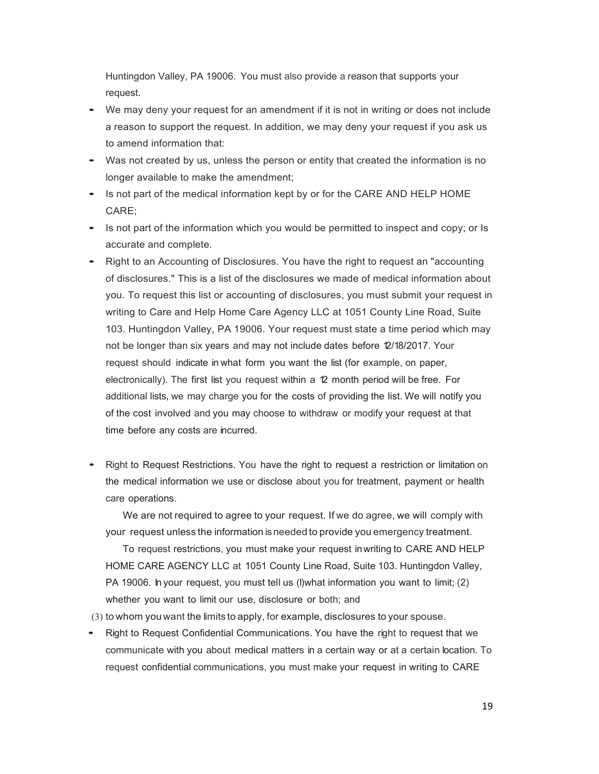Huntingdon Valley, PA 19006. You must also provide a reason that supports your request.

- We may deny your request for an amendment if it is not in writing or does not include a reason to support the request. In addition, we may deny your request if you ask us to amend information that:
- Was not created by us, unless the person or entity that created the information is no longer available to make the amendment;
- Is not part of the medical information kept by or for the CARE AND HELP HOME CARE;
- Is not part of the information which you would be permitted to inspect and copy; or Is accurate and complete.
- Right to an Accounting of Disclosures. You have the right to request an "accounting of disclosures." This is a list of the disclosures we made of medical information about you. To request this list or accounting of disclosures, you must submit your request in writing to Care and Help Home Care Agency LLC at 1051 County Line Road, Suite 103. Huntingdon Valley, PA 19006. Your request must state a time period which may not be longer than six years and may not include dates before 12/18/2017. Your request should indicate in what form you want the list (for example, on paper, electronically). The first list you request within a 12 month period will be free. For additional lists, we may charge you for the costs of providing the list. We will notify you of the cost involved and you may choose to withdraw or modify your request at that time before any costs are incurred.
- Right to Request Restrictions. You have the right to request <sup>a</sup> restriction or limitation on the medical information we use or disclose about you for treatment, payment or health care operations.

We are not required to agree to your request. If we do agree, we will comply with your request unless the information isneeded to provide you emergency treatment.

To request restrictions, you must make your request inwriting to CARE AND HELP HOME CARE AGENCY LLC at 1051 County Line Road, Suite 103. Huntingdon Valley, PA 19006. In your request, you must tell us (l)what information you want to limit; (2) whether you want to limit our use, disclosure or both; and

(3) to whom you want the limits to apply, for example, disclosures to your spouse.

• Right to Request Confidential Communications. You have the right to request that we communicate with you about medical matters in a certain way or at a certain location. To request confidential communications, you must make your request in writing to CARE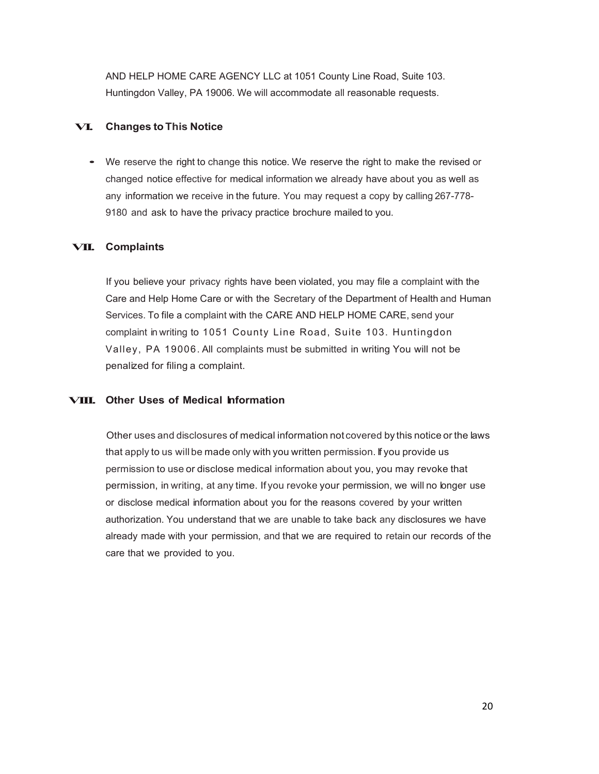AND HELP HOME CARE AGENCY LLC at 1051 County Line Road, Suite 103. Huntingdon Valley, PA 19006. We will accommodate all reasonable requests.

### **VI. Changes to This Notice**

• We reserve the right to change this notice. We reserve the right to make the revised or changed notice effective for medical information we already have about you as well as any information we receive in the future. You may request a copy by calling 267-778- 9180 and ask to have the privacy practice brochure mailed to you.

### **VII. Complaints**

If you believe your privacy rights have been violated, you may file a complaint with the Care and Help Home Care or with the Secretary of the Department of Health and Human Services. To file a complaint with the CARE AND HELP HOME CARE, send your complaint in writing to 1051 County Line Road, Suite 103. Huntingdon Valley, PA 19006. All complaints must be submitted in writing You will not be penalized for filing a complaint.

### **VIII. Other Uses of Medical Information**

Other uses and disclosures of medical information not covered by this notice or the laws that apply to us will be made only with you written permission. If you provide us permission to use or disclose medical information about you, you may revoke that permission, in writing, at any time. If you revoke your permission, we will no longer use or disclose medical information about you for the reasons covered by your written authorization. You understand that we are unable to take back any disclosures we have already made with your permission, and that we are required to retain our records of the care that we provided to you.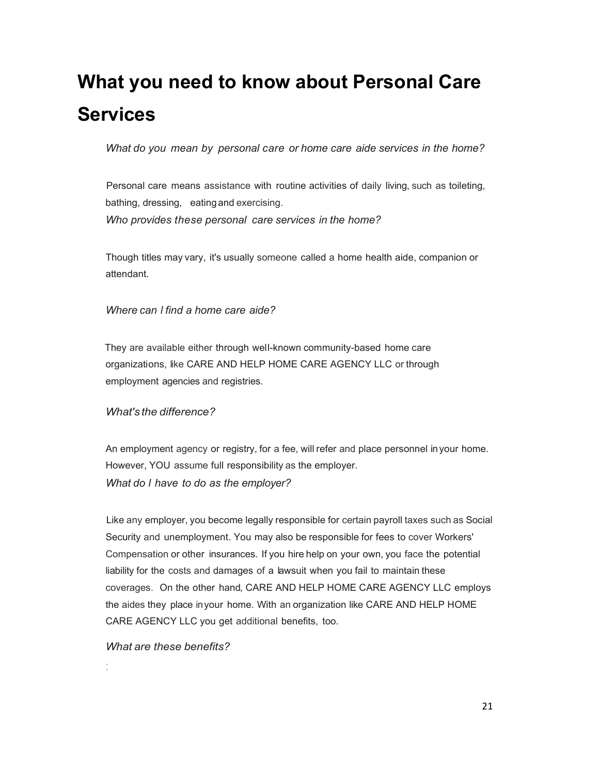## **What you need to know about Personal Care Services**

*What do you mean by personal care or home care aide services in the home?*

Personal care means assistance with routine activities of daily living, such as toileting, bathing, dressing, eatingand exercising. *Who provides these personal care services in the home?*

Though titles may vary, it's usually someone called a home health aide, companion or attendant.

*Where can I find a home care aide?*

They are available either through well-known community-based home care organizations, like CARE AND HELP HOME CARE AGENCY LLC or through employment agencies and registries.

#### *What's the difference?*

An employment agency or registry, for a fee, will refer and place personnel inyour home. However, YOU assume full responsibility as the employer. *What do I have to do as the employer?*

Like any employer, you become legally responsible for certain payroll taxes such as Social Security and unemployment. You may also be responsible for fees to cover Workers' Compensation or other insurances. If you hire help on your own, you face the potential liability for the costs and damages of a lawsuit when you fail to maintain these coverages. On the other hand, CARE AND HELP HOME CARE AGENCY LLC employs the aides they place inyour home. With an organization like CARE AND HELP HOME CARE AGENCY LLC you get additional benefits, too.

### *What are these benefits?*

: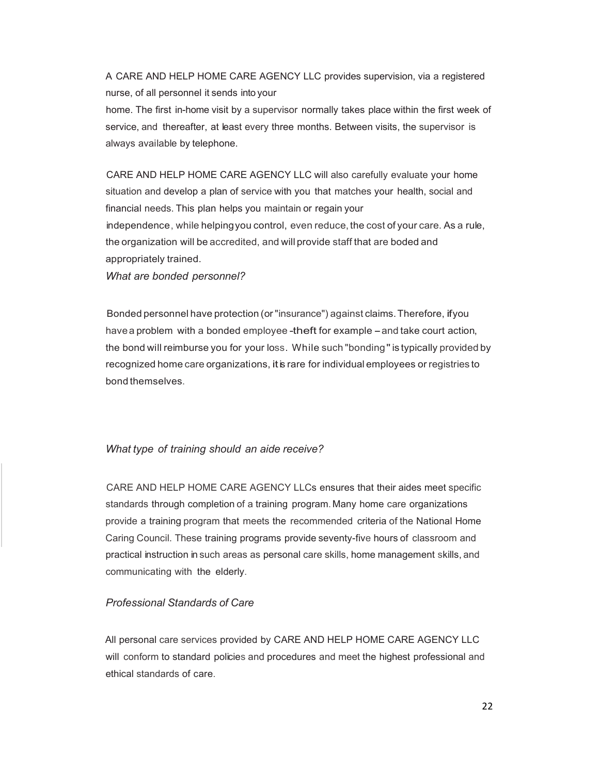A CARE AND HELP HOME CARE AGENCY LLC provides supervision, via a registered nurse, of all personnel it sends into your

home. The first in-home visit by a supervisor normally takes place within the first week of service, and thereafter, at least every three months. Between visits, the supervisor is always available by telephone.

CARE AND HELP HOME CARE AGENCY LLC will also carefully evaluate your home situation and develop a plan of service with you that matches your health, social and financial needs. This plan helps you maintain or regain your independence, while helpingyou control, even reduce, the cost of your care. As a rule, the organization will be accredited, and will provide staff that are boded and appropriately trained.

*What are bonded personnel?*

Bonded personnel have protection (or"insurance") against claims.Therefore, ifyou havea problem with a bonded employee-theft for example - and take court action, the bond will reimburse you for your loss. While such "bonding"is typically provided by recognized home care organizations, it is rare for individual employees or registries to bond themselves.

#### *What type of training should an aide receive?*

CARE AND HELP HOME CARE AGENCY LLCs ensures that their aides meet specific standards through completion of a training program. Many home care organizations provide a training program that meets the recommended criteria of the National Home Caring Council. These training programs provide seventy-five hours of classroom and practical instruction in such areas as personal care skills, home management skills, and communicating with the elderly.

### *Professional Standards of Care*

All personal care services provided by CARE AND HELP HOME CARE AGENCY LLC will conform to standard policies and procedures and meet the highest professional and ethical standards of care.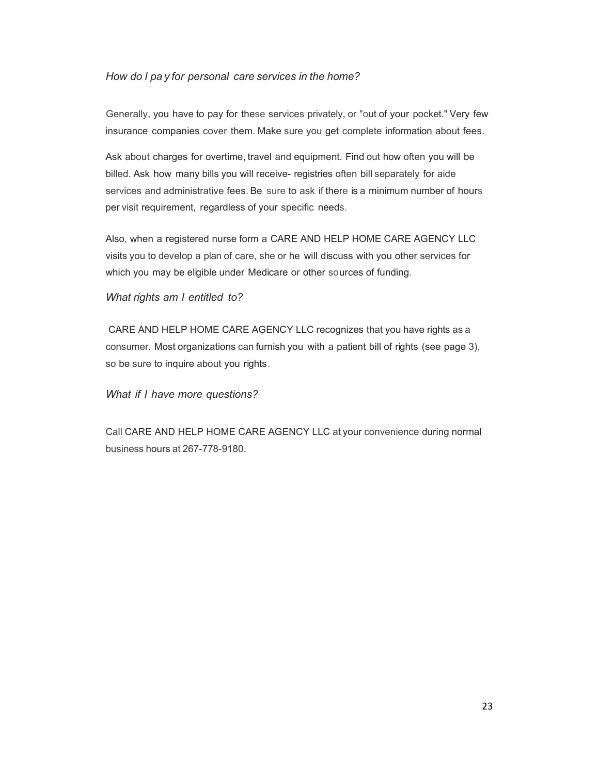### *How do I pa y for personal care services in the home?*

Generally, you have to pay for these services privately, or "out of your pocket." Very few insurance companies cover them. Make sure you get complete information about fees.

Ask about charges for overtime, travel and equipment. Find out how often you will be billed. Ask how many bills you will receive- registries often bill separately for aide services and administrative fees. Be sure to ask if there is a minimum number of hours per visit requirement, regardless of your specific needs.

Also, when a registered nurse form a CARE AND HELP HOME CARE AGENCY LLC visits you to develop a plan of care, she or he will discuss with you other services for which you may be eligible under Medicare or other sources of funding.

### *What rights am I entitled to?*

CARE AND HELP HOME CARE AGENCY LLC recognizes that you have rights as a consumer. Most organizations can furnish you with a patient bill of rights (see page 3), so be sure to inquire about you rights.

### *What if I have more questions?*

Call CARE AND HELP HOME CARE AGENCY LLC at your convenience during normal business hours at 267-778-9180.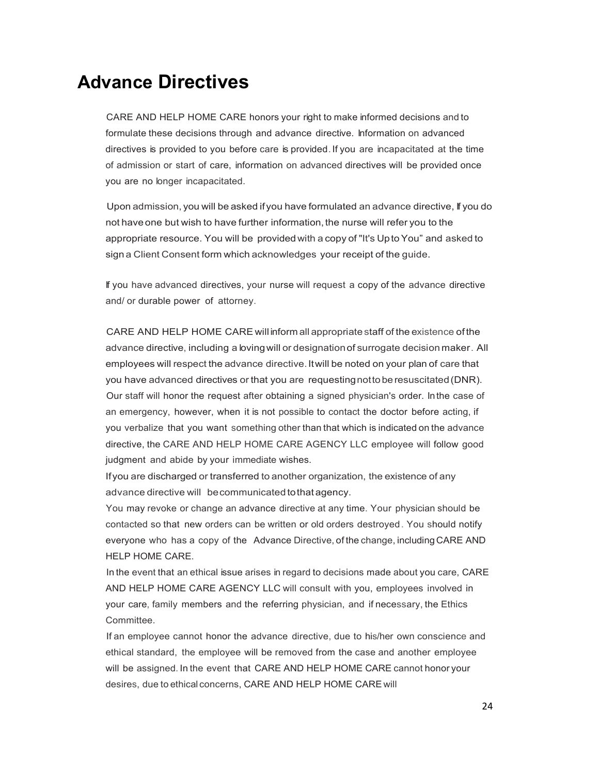### **Advance Directives**

CARE AND HELP HOME CARE honors your right to make informed decisions and to formulate these decisions through and advance directive. Information on advanced directives is provided to you before care is provided. If you are incapacitated at the time of admission or start of care, information on advanced directives will be provided once you are no longer incapacitated.

Upon admission, you will be asked ifyou have formulated an advance directive, If you do not have one but wish to have further information, the nurse will refer you to the appropriate resource. You will be provided with a copy of "It's Upto You" and asked to sign a Client Consent form which acknowledges your receipt of the guide.

If you have advanced directives, your nurse will request a copy of the advance directive and/ or durable power of attorney.

CARE AND HELP HOME CARE will inform all appropriate staff of the existence of the advance directive, including a lovingwill or designationof surrogate decision maker. All employees will respect the advance directive. It will be noted on your plan of care that you have advanced directives or that you are requestingnottoberesuscitated(DNR). Our staff will honor the request after obtaining a signed physician's order. Inthe case of an emergency, however, when it is not possible to contact the doctor before acting, if you verbalize that you want something other than that which is indicated on the advance directive, the CARE AND HELP HOME CARE AGENCY LLC employee will follow good judgment and abide by your immediate wishes.

Ifyou are discharged or transferred to another organization, the existence of any advance directive will becommunicated tothat agency.

You may revoke or change an advance directive at any time. Your physician should be contacted so that new orders can be written or old orders destroyed. You should notify everyone who has a copy of the Advance Directive, of the change, including CARE AND HELP HOME CARE.

In the event that an ethical issue arises in regard to decisions made about you care, CARE AND HELP HOME CARE AGENCY LLC will consult with you, employees involved in your care, family members and the referring physician, and if necessary, the Ethics Committee.

If an employee cannot honor the advance directive, due to his/her own conscience and ethical standard, the employee will be removed from the case and another employee will be assigned. In the event that CARE AND HELP HOME CARE cannot honor your desires, due to ethical concerns, CARE AND HELP HOME CARE will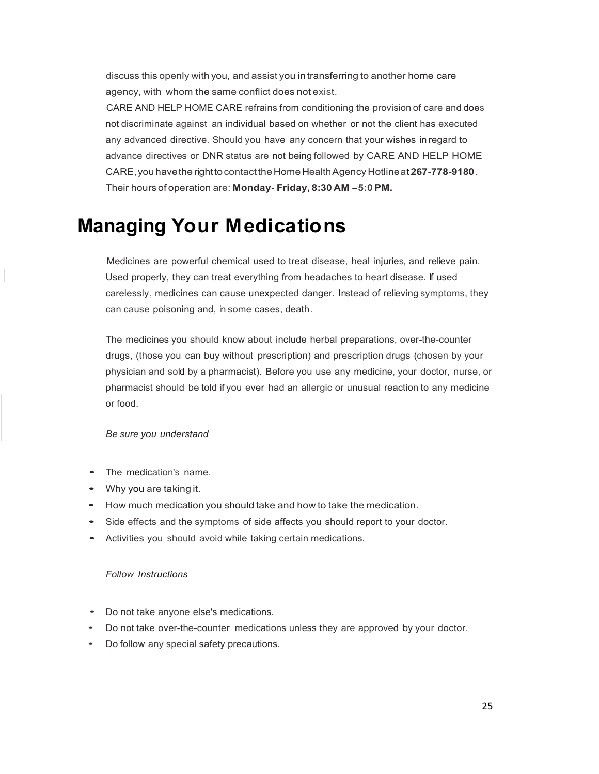discuss this openly with you, and assist you intransferring to another home care agency, with whom the same conflict does not exist.

CARE AND HELP HOME CARE refrains from conditioning the provision of care and does not discriminate against an individual based on whether or not the client has executed any advanced directive. Should you have any concern that your wishes in regard to advance directives or DNR status are not being followed by CARE AND HELP HOME CARE,youhavethe righttocontacttheHomeHealthAgency Hotlineat **267-778-9180**. Their hours of operation are: **Monday- Friday, 8:30 AM -5:0 PM.**

## **Managing Your Medications**

Medicines are powerful chemical used to treat disease, heal injuries, and relieve pain. Used properly, they can treat everything from headaches to heart disease. If used carelessly, medicines can cause unexpected danger. Instead of relieving symptoms, they can cause poisoning and, in some cases, death.

The medicines you should know about include herbal preparations, over-the-counter drugs, (those you can buy without prescription) and prescription drugs (chosen by your physician and sold by a pharmacist). Before you use any medicine, your doctor, nurse, or pharmacist should be told if you ever had an allergic or unusual reaction to any medicine or food.

#### *Be sure you understand*

- The medication's name.
- Why you are taking it.
- How much medication you should take and how to take the medication.
- Side effects and the symptoms of side affects you should report to your doctor.
- Activities you should avoid while taking certain medications.

#### *Follow Instructions*

- Do not take anyone else's medications.
- Do not take over-the-counter medications unless they are approved by your doctor.
- Do follow any special safety precautions.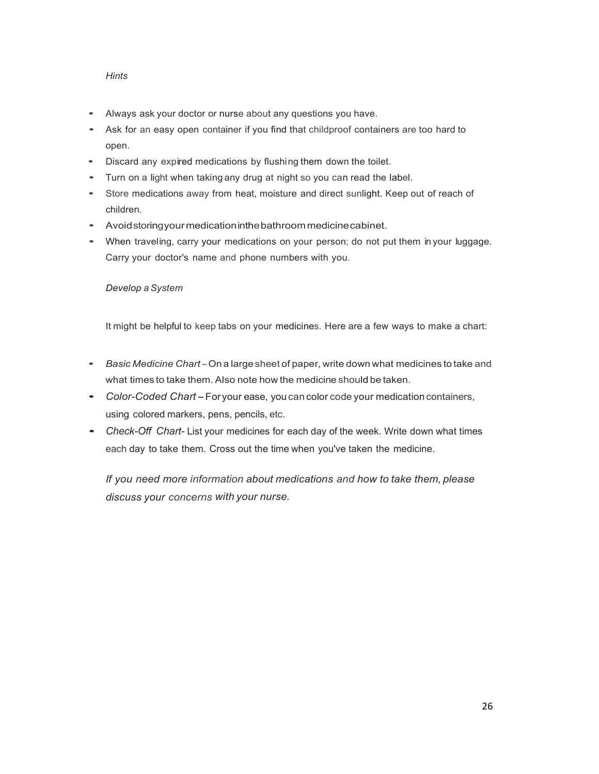### *Hints*

- Always ask your doctor or nurse about any questions you have.
- Ask for an easy open container if you find that childproof containers are too hard to open.
- Discard any expired medications by flushing them down the toilet.
- Turn on <sup>a</sup> light when taking any drug at night so you can read the label.
- Store medications away from heat, moisture and direct sunlight. Keep out of reach of children.
- Avoidstoringyourmedicationinthebathroommedicinecabinet.
- When traveling, carry your medications on your person; do not put them in your luggage. Carry your doctor's name and phone numbers with you.

#### *Develop aSystem*

It might be helpful to keep tabs on your medicines. Here are a few ways to make a chart:

- *Basic Medicine Chart*-On <sup>a</sup> large sheet of paper, write down what medicines to take and what times to take them. Also note how the medicine should be taken.
- *Color-Coded Chart*-Foryour ease, you can color code your medication containers, using colored markers, pens, pencils, etc.
- *Check-Off Chart-* List your medicines for each day of the week. Write down what times each day to take them. Cross out the time when you've taken the medicine.

*If you need more information about medications and how to take them, please discuss your concerns with your nurse.*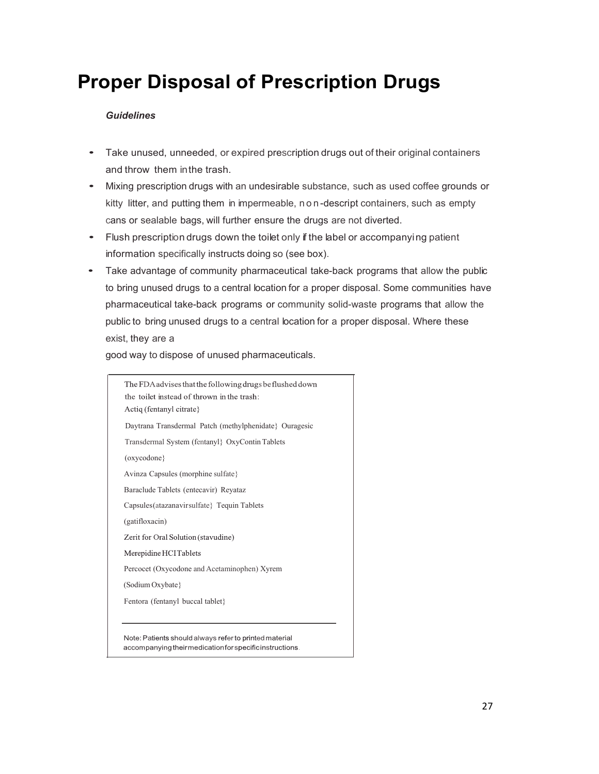## **Proper Disposal of Prescription Drugs**

### *Guidelines*

- Take unused, unneeded, or expired prescription drugs out of their original containers and throw them inthe trash.
- Mixing prescription drugs with an undesirable substance, such as used coffee grounds or kitty litter, and putting them in impermeable, non -descript containers, such as empty cans or sealable bags, will further ensure the drugs are not diverted.
- Flush prescription drugs down the toilet only if the label or accompanying patient information specifically instructs doing so (see box).
- Take advantage of community pharmaceutical take-back programs that allow the public to bring unused drugs to a central location for a proper disposal. Some communities have pharmaceutical take-back programs or community solid-waste programs that allow the public to bring unused drugs to a central location for a proper disposal. Where these exist, they are a

good way to dispose of unused pharmaceuticals.

The FDA advises that the following drugs be flushed down the toilet instead of thrown in the trash: Actiq (fentanyl citrate) Daytrana Transdermal Patch (methylphenidate} Ouragesic Transdermal System (fentanyl} OxyContinTablets (oxycodone} Avinza Capsules (morphine sulfate} Baraclude Tablets (entecavir) Reyataz Capsules(atazanavirsulfate} Tequin Tablets (gatifloxacin) Zerit for Oral Solution (stavudine) Merepidine HCITablets Percocet (Oxycodone and Acetaminophen) Xyrem (Sodium Oxybate} Fentora (fentanyl buccal tablet}Note: Patients should always refer to printed material accompanying theirmedication for specific instructions.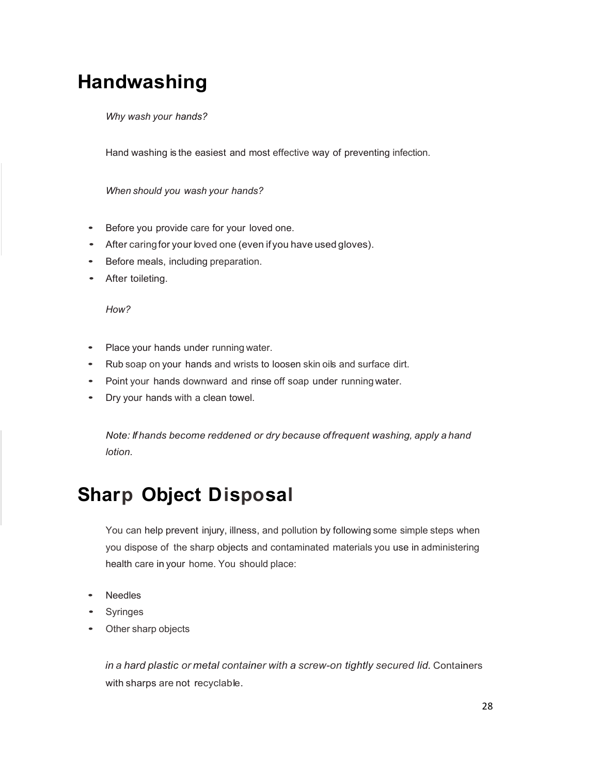## **Handwashing**

*Why wash your hands?*

Hand washing is the easiest and most effective way of preventing infection.

*When should you wash your hands?*

- Before you provide care for your loved one.
- After caringfor your loved one (even if you have used gloves).
- Before meals, including preparation.
- After toileting.

*How?*

- Place your hands under running water.
- Rub soap on your hands and wrists to loosen skin oils and surface dirt.
- Point your hands downward and rinse off soap under runningwater.
- Dry your hands with <sup>a</sup> clean towel.

*Note: If hands become reddened or dry because offrequent washing, apply a hand lotion.*

## **Sharp Object Disposal**

You can help prevent injury, illness, and pollution by following some simple steps when you dispose of the sharp objects and contaminated materials you use in administering health care in your home. You should place:

- **Needles**
- Syringes
- Other sharp objects

*in a hard plastic or metal container with a screw-on tightly secured lid.* Containers with sharps are not recyclable.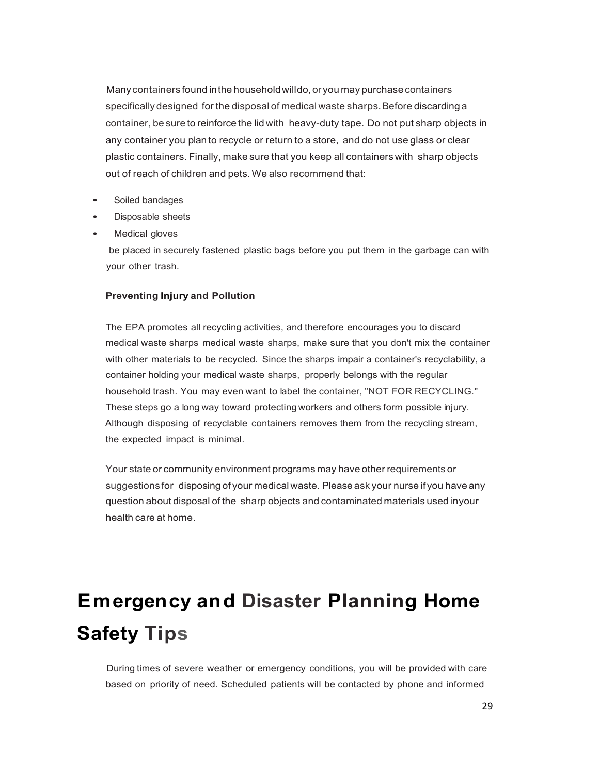Many containers found in the household willdo, or you may purchase containers specifically designed for the disposal of medical waste sharps. Before discarding a container, be sure to reinforce the lid with heavy-duty tape. Do not put sharp objects in any container you plan to recycle or return to a store, and do not use glass or clear plastic containers. Finally, make sure that you keep all containers with sharp objects out of reach of children and pets. We also recommend that:

- Soiled bandages
- Disposable sheets
- Medical gloves

be placed in securely fastened plastic bags before you put them in the garbage can with your other trash.

#### **Preventing Injury and Pollution**

The EPA promotes all recycling activities, and therefore encourages you to discard medical waste sharps medical waste sharps, make sure that you don't mix the container with other materials to be recycled. Since the sharps impair a container's recyclability, a container holding your medical waste sharps, properly belongs with the regular household trash. You may even want to label the container, "NOT FOR RECYCLING." These steps go a long way toward protecting workers and others form possible injury. Although disposing of recyclable containers removes them from the recycling stream, the expected impact is minimal.

Your state or community environment programs may have other requirements or suggestions for disposing of your medical waste. Please ask your nurse ifyou have any question about disposal of the sharp objects and contaminated materials used inyour health care at home.

## **Emergency and Disaster Planning Home Safety Tips**

During times of severe weather or emergency conditions, you will be provided with care based on priority of need. Scheduled patients will be contacted by phone and informed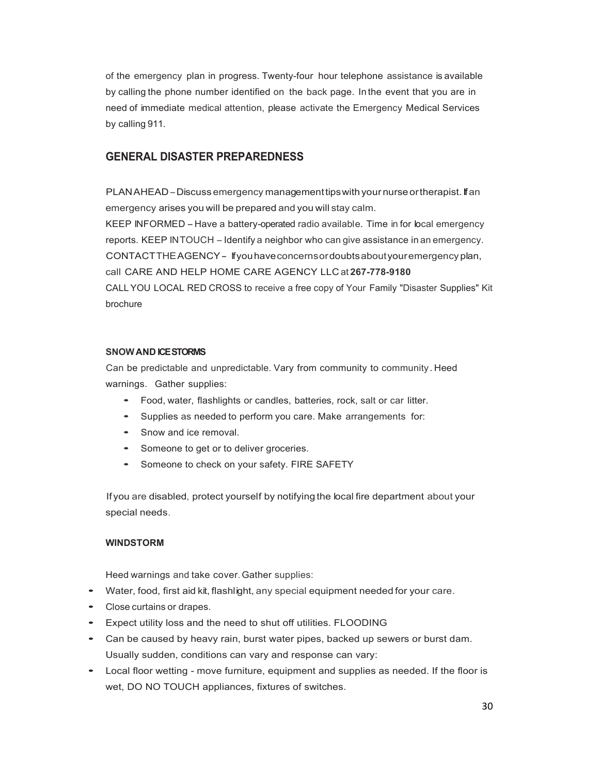of the emergency plan in progress. Twenty-four hour telephone assistance is available by calling the phone number identified on the back page. In the event that you are in need of immediate medical attention, please activate the Emergency Medical Services by calling 911.

### **GENERAL DISASTER PREPAREDNESS**

PLANAHEAD-Discuss emergency management tips with your nurse or the rapist. If an emergency arises you will be prepared and you will stay calm. KEEP INFORMED -Have <sup>a</sup> battery-operated radio available. Time in for local emergency reports. KEEP INTOUCH - Identify a neighbor who can give assistance in an emergency. CONTACTTHEAGENCY- Ifyouhaveconcernsordoubtsaboutyouremergency plan, call CARE AND HELP HOME CARE AGENCY LLC at **267-778-9180** CALL YOU LOCAL RED CROSS to receive a free copy of Your Family "Disaster Supplies" Kit

brochure

#### **SNOWAND ICE STORMS**

Can be predictable and unpredictable. Vary from community to community . Heed warnings. Gather supplies:

- Food, water, flashlights or candles, batteries, rock, salt or car litter.
- Supplies as needed to perform you care. Make arrangements for:
- Snow and ice removal.
- Someone to get or to deliver groceries.
- Someone to check on your safety. FIRE SAFETY

If you are disabled, protect yourself by notifying the local fire department about your special needs.

#### **WINDSTORM**

Heed warnings and take cover.Gather supplies:

- Water, food, first aid kit, flashlight, any special equipment needed for your care.
- Close curtains or drapes.
- Expect utility loss and the need to shut off utilities. FLOODING
- Can be caused by heavy rain, burst water pipes, backed up sewers or burst dam. Usually sudden, conditions can vary and response can vary:
- Local floor wetting move furniture, equipment and supplies as needed. If the floor is wet, DO NO TOUCH appliances, fixtures of switches.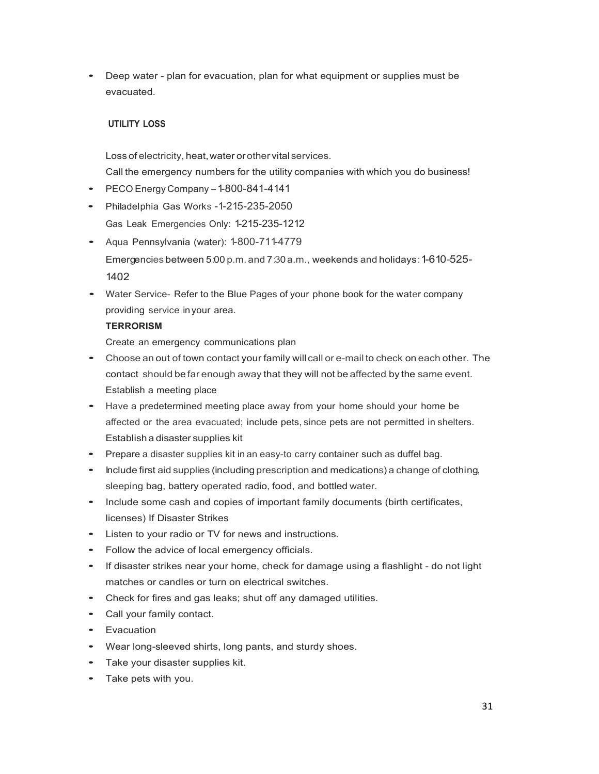• Deep water - plan for evacuation, plan for what equipment or supplies must be evacuated.

### **UTILITY LOSS**

Loss of electricity, heat, water or other vital services. Call the emergency numbers for the utility companies with which you do business!

- $\bullet$  PECO Energy Company  $-1-800-841-4141$
- Philadelphia Gas Works -1-215-235-2050 Gas Leak Emergencies Only: 1-215-235-1212
- Aqua Pennsylvania (water): 1-800-711-4779 Emergencies between 5:00 p.m. and 7:30a.m., weekends and holidays:1-610-525- 1402
- Water Service- Refer to the Blue Pages of your phone book for the water company providing service inyour area.

### **TERRORISM**

Create an emergency communications plan

- Choose an out of town contact your family will call or e-mail to check on each other. The contact should be far enough away that they will not be affected by the same event. Establish a meeting place
- Have <sup>a</sup> predetermined meeting place away from your home should your home be affected or the area evacuated; include pets, since pets are not permitted in shelters. Establish a disaster supplies kit
- Prepare <sup>a</sup> disaster supplies kit in an easy-to carry container such as duffel bag.
- Include first aid supplies (including prescription and medications) a change of clothing, sleeping bag, battery operated radio, food, and bottled water.
- Include some cash and copies of important family documents (birth certificates, licenses) If Disaster Strikes
- Listen to your radio or TV for news and instructions.
- Follow the advice of local emergency officials.
- If disaster strikes near your home, check for damage using a flashlight do not light matches or candles or turn on electrical switches.
- Check for fires and gas leaks; shut off any damaged utilities.
- Call your family contact.
- Evacuation
- Wear long-sleeved shirts, long pants, and sturdy shoes.
- Take your disaster supplies kit.
- Take pets with you.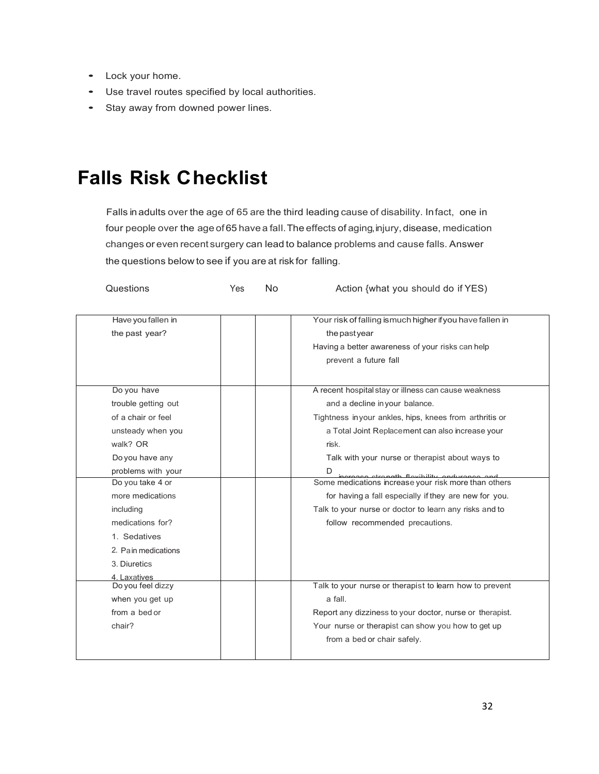- Lock your home.
- Use travel routes specified by local authorities.
- Stay away from downed power lines.

## **Falls Risk Checklist**

Falls in adults over the age of 65 are the third leading cause of disability. Infact, one in four people over the age of 65 have a fall. The effects of aging, injury, disease, medication changes or even recent surgery can lead to balance problems and cause falls. Answer the questions below to see if you are at risk for falling.

| Questions                            | Yes                                                | No | Action {what you should do if YES)                                         |
|--------------------------------------|----------------------------------------------------|----|----------------------------------------------------------------------------|
| Have you fallen in<br>the past year? |                                                    |    | Your risk of falling is much higher if you have fallen in<br>the past year |
|                                      |                                                    |    | Having a better awareness of your risks can help                           |
|                                      |                                                    |    | prevent a future fall                                                      |
|                                      |                                                    |    |                                                                            |
| Do you have                          |                                                    |    | A recent hospital stay or illness can cause weakness                       |
| trouble getting out                  |                                                    |    | and a decline in your balance.                                             |
| of a chair or feel                   |                                                    |    | Tightness in your ankles, hips, knees from arthritis or                    |
| unsteady when you                    |                                                    |    | a Total Joint Replacement can also increase your                           |
| walk? OR                             |                                                    |    | risk.                                                                      |
| Do you have any                      |                                                    |    | Talk with your nurse or therapist about ways to                            |
| problems with your                   |                                                    |    | D<br>increase strength flovibility andurance and                           |
| Do you take 4 or                     |                                                    |    | Some medications increase your risk more than others                       |
| more medications                     |                                                    |    | for having a fall especially if they are new for you.                      |
| including                            |                                                    |    | Talk to your nurse or doctor to learn any risks and to                     |
| medications for?                     |                                                    |    | follow recommended precautions.                                            |
| 1. Sedatives                         |                                                    |    |                                                                            |
| 2. Pain medications                  |                                                    |    |                                                                            |
| 3. Diuretics                         |                                                    |    |                                                                            |
| 4. Laxatives                         |                                                    |    |                                                                            |
| Do you feel dizzy                    |                                                    |    | Talk to your nurse or therapist to learn how to prevent                    |
| when you get up                      |                                                    |    | a fall.                                                                    |
| from a bed or                        |                                                    |    | Report any dizziness to your doctor, nurse or therapist.                   |
| chair?                               | Your nurse or therapist can show you how to get up |    |                                                                            |
|                                      |                                                    |    | from a bed or chair safely.                                                |
|                                      |                                                    |    |                                                                            |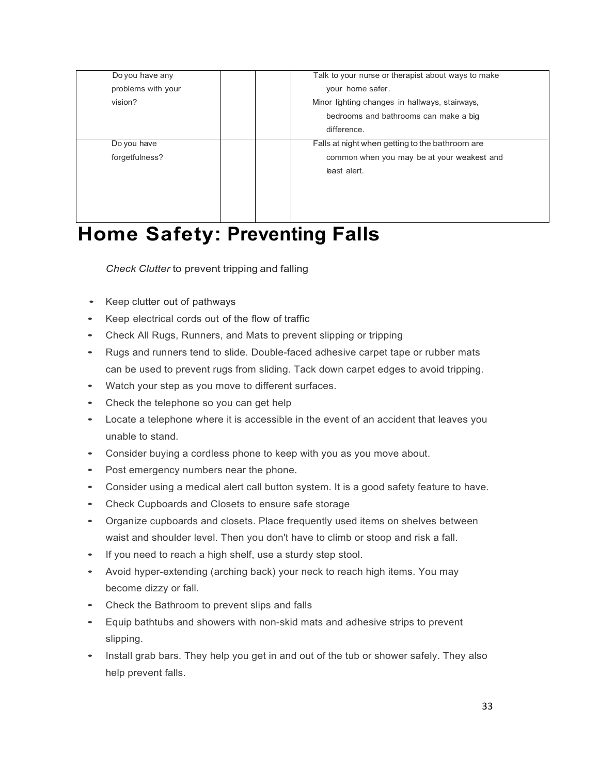| Talk to your nurse or therapist about ways to make |  |
|----------------------------------------------------|--|
| your home safer.                                   |  |
| Minor lighting changes in hallways, stairways,     |  |
|                                                    |  |
|                                                    |  |
|                                                    |  |
|                                                    |  |
|                                                    |  |
|                                                    |  |
|                                                    |  |
|                                                    |  |
|                                                    |  |

## **Home Safety: Preventing Falls**

*Check Clutter* to prevent tripping and falling

- Keep clutter out of pathways
- Keep electrical cords out of the flow of traffic
- Check All Rugs, Runners, and Mats to prevent slipping or tripping
- Rugs and runners tend to slide. Double-faced adhesive carpet tape or rubber mats can be used to prevent rugs from sliding. Tack down carpet edges to avoid tripping.
- Watch your step as you move to different surfaces.
- Check the telephone so you can get help
- Locate a telephone where it is accessible in the event of an accident that leaves you unable to stand.
- Consider buying a cordless phone to keep with you as you move about.
- Post emergency numbers near the phone.
- Consider using a medical alert call button system. It is a good safety feature to have.
- Check Cupboards and Closets to ensure safe storage
- Organize cupboards and closets. Place frequently used items on shelves between waist and shoulder level. Then you don't have to climb or stoop and risk a fall.
- If you need to reach a high shelf, use a sturdy step stool.
- Avoid hyper-extending (arching back) your neck to reach high items. You may become dizzy or fall.
- Check the Bathroom to prevent slips and falls
- Equip bathtubs and showers with non-skid mats and adhesive strips to prevent slipping.
- Install grab bars. They help you get in and out of the tub or shower safely. They also help prevent falls.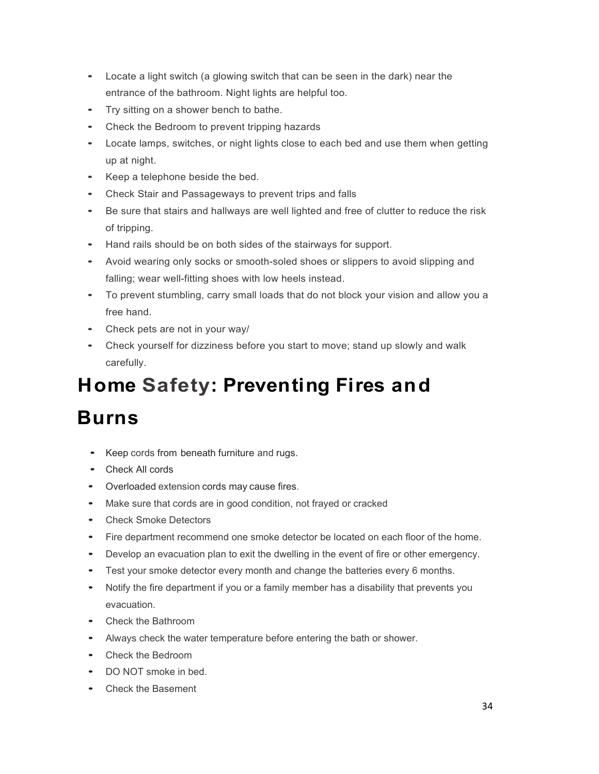- Locate a light switch (a glowing switch that can be seen in the dark) near the entrance of the bathroom. Night lights are helpful too.
- Try sitting on a shower bench to bathe.
- Check the Bedroom to prevent tripping hazards
- Locate lamps, switches, or night lights close to each bed and use them when getting up at night.
- Keep a telephone beside the bed.
- Check Stair and Passageways to prevent trips and falls
- Be sure that stairs and hallways are well lighted and free of clutter to reduce the risk of tripping.
- Hand rails should be on both sides of the stairways for support.
- Avoid wearing only socks or smooth-soled shoes or slippers to avoid slipping and falling; wear well-fitting shoes with low heels instead.
- To prevent stumbling, carry small loads that do not block your vision and allow you a free hand.
- Check pets are not in your way/
- Check yourself for dizziness before you start to move; stand up slowly and walk carefully.

## **Home Safety: Preventing Fires and Burns**

- 
- Keep cords from beneath furniture and rugs.
- Check All cords
- Overloaded extension cords may cause fires.
- Make sure that cords are in good condition, not frayed or cracked
- Check Smoke Detectors
- Fire department recommend one smoke detector be located on each floor of the home.
- Develop an evacuation plan to exit the dwelling in the event of fire or other emergency.
- Test your smoke detector every month and change the batteries every 6 months.
- Notify the fire department if you or a family member has a disability that prevents you evacuation.
- Check the Bathroom
- Always check the water temperature before entering the bath or shower.
- Check the Bedroom
- DO NOT smoke in bed.
- Check the Basement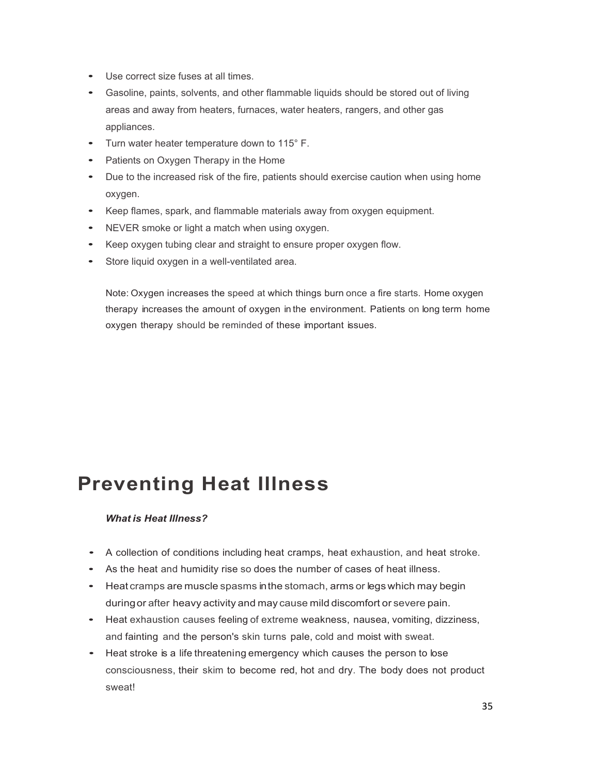- Use correct size fuses at all times.
- Gasoline, paints, solvents, and other flammable liquids should be stored out of living areas and away from heaters, furnaces, water heaters, rangers, and other gas appliances.
- Turn water heater temperature down to 115° F.
- Patients on Oxygen Therapy in the Home
- Due to the increased risk of the fire, patients should exercise caution when using home oxygen.
- Keep flames, spark, and flammable materials away from oxygen equipment.
- NEVER smoke or light a match when using oxygen.
- Keep oxygen tubing clear and straight to ensure proper oxygen flow.
- Store liquid oxygen in a well-ventilated area.

Note: Oxygen increases the speed at which things burn once a fire starts. Home oxygen therapy increases the amount of oxygen in the environment. Patients on long term home oxygen therapy should be reminded of these important issues.

### **Preventing Heat Illness**

#### *What is Heat Illness?*

- <sup>A</sup> collection of conditions including heat cramps, heat exhaustion, and heat stroke.
- As the heat and humidity rise so does the number of cases of heat illness.
- Heat cramps are muscle spasms inthe stomach, arms or legs which may begin duringor after heavy activity and may cause mild discomfort or severe pain.
- Heat exhaustion causes feeling of extreme weakness, nausea, vomiting, dizziness, and fainting and the person's skin turns pale, cold and moist with sweat.
- Heat stroke is <sup>a</sup> life threatening emergency which causes the person to lose consciousness, their skim to become red, hot and dry. The body does not product sweat!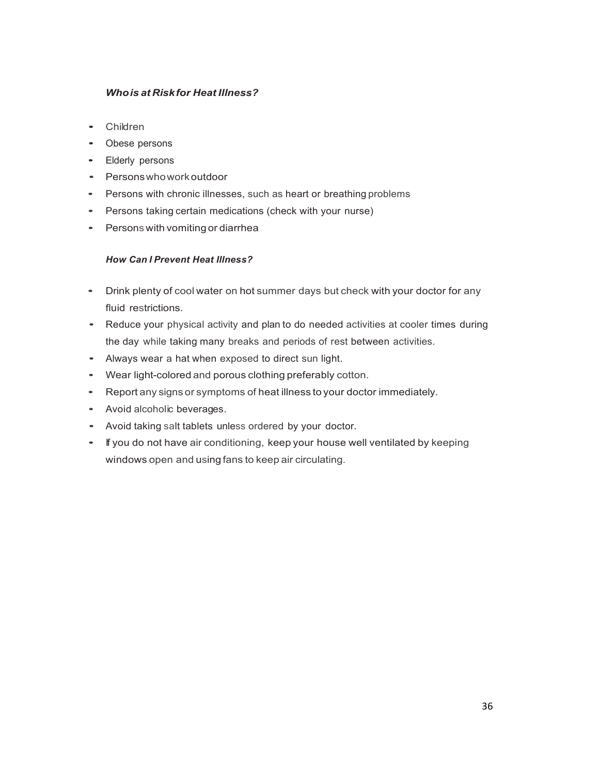### *Whois at Riskfor Heat Illness?*

- Children
- Obese persons
- Elderly persons
- Personswhoworkoutdoor
- Persons with chronic illnesses, such as heart or breathing problems
- Persons taking certain medications (check with your nurse)
- Persons with vomitingor diarrhea

### *How Can I Prevent Heat Illness?*

- Drink plenty of cool water on hot summer days but check with your doctor for any fluid restrictions.
- Reduce your physical activity and plan to do needed activities at cooler times during the day while taking many breaks and periods of rest between activities.
- Always wear <sup>a</sup> hat when exposed to direct sun light.
- Wear light-colored and porous clothing preferably cotton.
- Report any signs or symptoms of heat illness to your doctor immediately.
- Avoid alcoholic beverages.
- Avoid taking salt tablets unless ordered by your doctor.
- If you do not have air conditioning, keep your house well ventilated by keeping windows open and using fans to keep air circulating.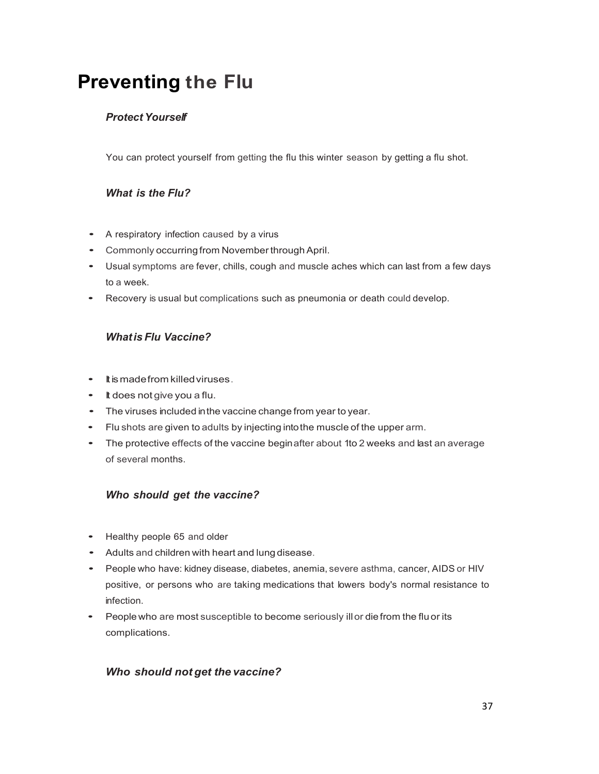## **Preventing the Flu**

### *Protect Yourself*

You can protect yourself from getting the flu this winter season by getting a flu shot.

### *What is the Flu?*

- <sup>A</sup> respiratory infection caused by <sup>a</sup> virus
- Commonly occurring from November through April.
- Usual symptoms are fever, chills, cough and muscle aches which can last from <sup>a</sup> few days to a week.
- Recovery is usual but complications such as pneumonia or death could develop.

### *Whatis Flu Vaccine?*

- Itismadefrom killed viruses.
- It does not give you <sup>a</sup> flu.
- The viruses included inthe vaccine change from year to year.
- Flu shots are given to adults by injecting intothe muscle of the upper arm.
- The protective effects of the vaccine beginafter about 1to <sup>2</sup> weeks and last an average of several months.

### *Who should get the vaccine?*

- Healthy people <sup>65</sup> and older
- Adults and children with heart and lung disease.
- People who have: kidney disease, diabetes, anemia, severe asthma, cancer, AIDS or HIV positive, or persons who are taking medications that lowers body's normal resistance to infection.
- People who are most susceptible to become seriously ill or die from the fluor its complications.

### *Who should not get the vaccine?*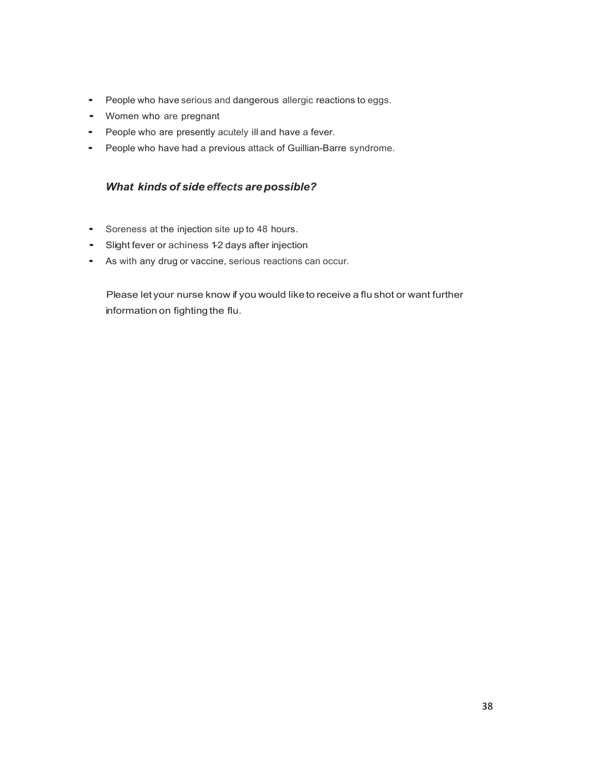- People who have serious and dangerous allergic reactions to eggs.
- Women who are pregnant
- People who are presently acutely ill and have <sup>a</sup> fever.
- People who have had <sup>a</sup> previous attack of Guillian-Barre syndrome.

### *What kinds of side effects are possible?*

- Soreness at the injection site up to <sup>48</sup> hours.
- Slight fever or achiness 1-2 days after injection
- As with any drug or vaccine, serious reactions can occur.

Please let your nurse know if you would liketo receive a flu shot or want further information on fighting the flu.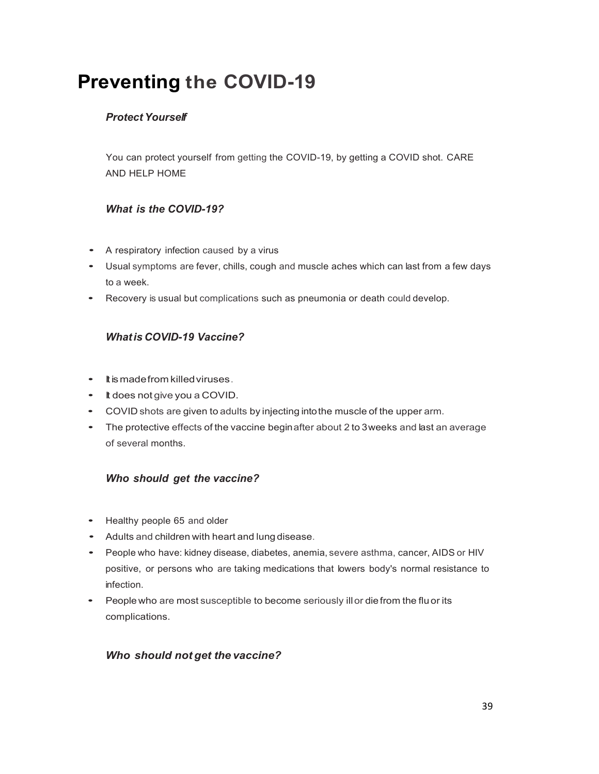## **Preventing the COVID-19**

### *Protect Yourself*

You can protect yourself from getting the COVID-19, by getting a COVID shot. CARE AND HELP HOME

### *What is the COVID-19?*

- <sup>A</sup> respiratory infection caused by <sup>a</sup> virus
- Usual symptoms are fever, chills, cough and muscle aches which can last from <sup>a</sup> few days to a week.
- Recovery is usual but complications such as pneumonia or death could develop.

### *Whatis COVID-19 Vaccine?*

- Itismadefrom killed viruses.
- It does not give you <sup>a</sup> COVID.
- COVID shots are given to adults by injecting intothe muscle of the upper arm.
- The protective effects of the vaccine beginafter about 2 to 3weeks and last an average of several months.

### *Who should get the vaccine?*

- Healthy people <sup>65</sup> and older
- Adults and children with heart and lung disease.
- People who have: kidney disease, diabetes, anemia, severe asthma, cancer, AIDS or HIV positive, or persons who are taking medications that lowers body's normal resistance to infection.
- People who are most susceptible to become seriously ill or die from the fluor its complications.

### *Who should not get the vaccine?*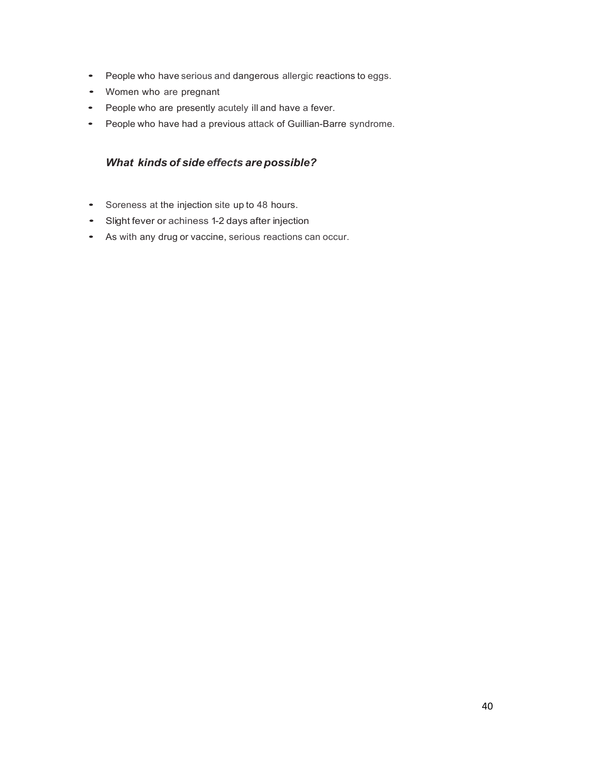- People who have serious and dangerous allergic reactions to eggs.
- Women who are pregnant
- People who are presently acutely ill and have <sup>a</sup> fever.
- People who have had <sup>a</sup> previous attack of Guillian-Barre syndrome.

### *What kinds of side effects are possible?*

- Soreness at the injection site up to <sup>48</sup> hours.
- Slight fever or achiness 1-2 days after injection
- As with any drug or vaccine, serious reactions can occur.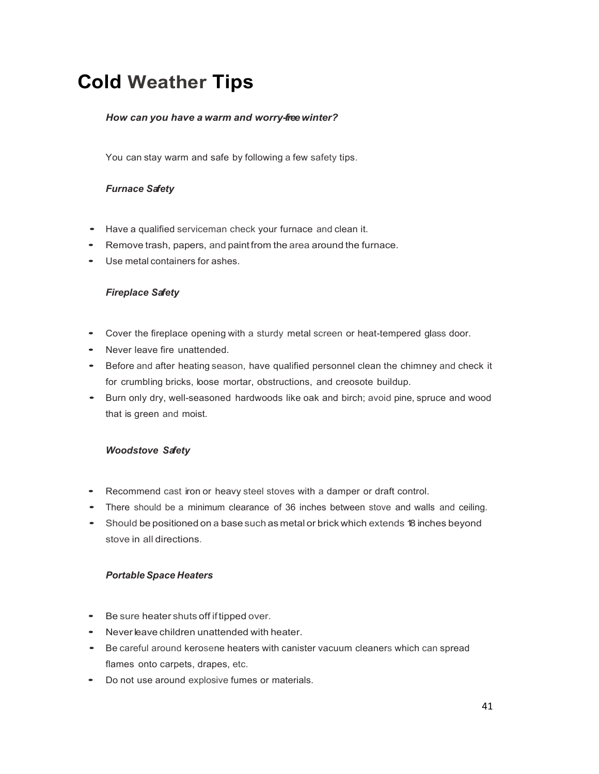## **Cold Weather Tips**

### *How can you have a warm and worry-freewinter?*

You can stay warm and safe by following a few safety tips.

### *Furnace Safety*

- Have <sup>a</sup> qualified serviceman check your furnace and clean it.
- Remove trash, papers, and paint from the area around the furnace.
- Use metal containers for ashes.

### *Fireplace Safety*

- Cover the fireplace opening with <sup>a</sup> sturdy metal screen or heat-tempered glass door.
- Never leave fire unattended.
- Before and after heating season, have qualified personnel clean the chimney and check it for crumbling bricks, loose mortar, obstructions, and creosote buildup.
- Burn only dry, well-seasoned hardwoods like oak and birch; avoid pine, spruce and wood that is green and moist.

### *Woodstove Safety*

- Recommend cast iron or heavy steel stoves with <sup>a</sup> damper or draft control.
- There should be <sup>a</sup> minimum clearance of <sup>36</sup> inches between stove and walls and ceiling.
- Should be positioned on <sup>a</sup> base such as metal or brick which extends <sup>18</sup> inches beyond stove in all directions.

### *Portable Space Heaters*

- Be sure heater shuts off iftipped over.
- Never leave children unattended with heater.
- Be careful around kerosene heaters with canister vacuum cleaners which can spread flames onto carpets, drapes, etc.
- Do not use around explosive fumes or materials.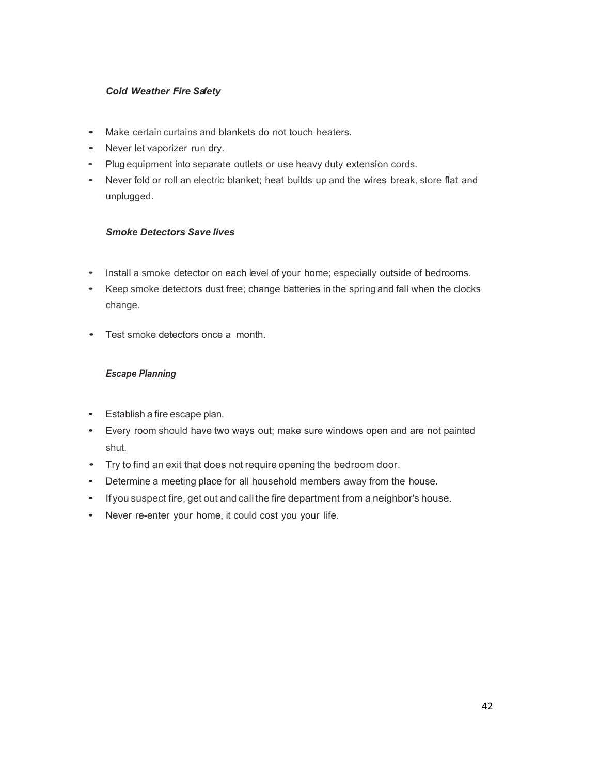### *Cold Weather Fire Safety*

- Make certain curtains and blankets do not touch heaters.
- Never let vaporizer run dry.
- Plug equipment into separate outlets or use heavy duty extension cords.
- Never fold or roll an electric blanket; heat builds up and the wires break, store flat and unplugged.

### *Smoke Detectors Save lives*

- Install <sup>a</sup> smoke detector on each level of your home; especially outside of bedrooms.
- Keep smoke detectors dust free; change batteries in the spring and fall when the clocks change.
- Test smoke detectors once <sup>a</sup> month.

### *Escape Planning*

- Establish <sup>a</sup> fire escape plan.
- Every room should have two ways out; make sure windows open and are not painted shut.
- Try to find an exit that does not require opening the bedroom door.
- Determine <sup>a</sup> meeting place for all household members away from the house.
- If you suspect fire, get out and call the fire department from <sup>a</sup> neighbor's house.
- Never re-enter your home, it could cost you your life.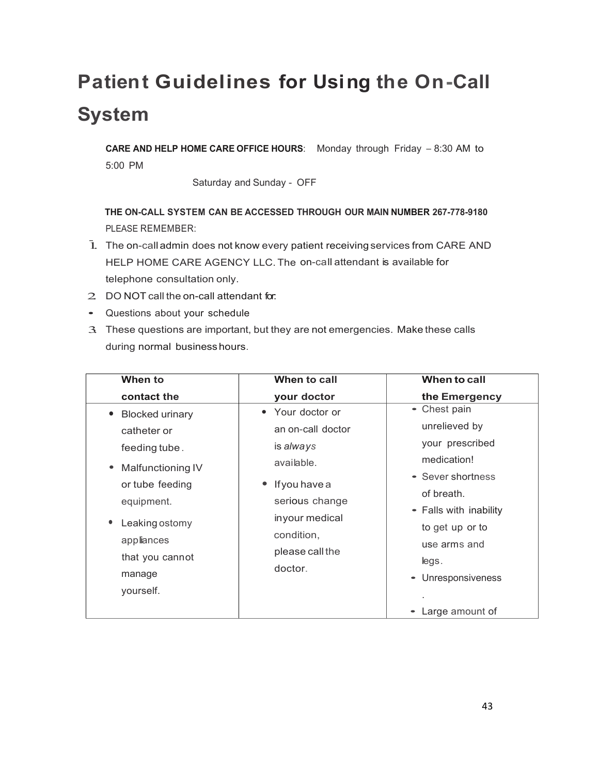## **Patient Guidelines for Using the On-Call System**

**CARE AND HELP HOME CARE OFFICE HOURS**: Monday through Friday - 8:30 AM to 5:00 PM

Saturday and Sunday - OFF

**THE ON-CALL SYSTEM CAN BE ACCESSED THROUGH OUR MAIN NUMBER 267-778-9180** PLEASE REMEMBER:

- 1. The on-call admin does not know every patient receiving services from CARE AND HELP HOME CARE AGENCY LLC. The on-call attendant is available for telephone consultation only.
- 2. DO NOT call the on-call attendant for:
- Questions about your schedule
- 3. These questions are important, but they are not emergencies. Make these calls during normal businesshours.

| When to                                                                                                                                                                                  | When to call                                                                                                                                                        | When to call                                                                                                                                                                                 |
|------------------------------------------------------------------------------------------------------------------------------------------------------------------------------------------|---------------------------------------------------------------------------------------------------------------------------------------------------------------------|----------------------------------------------------------------------------------------------------------------------------------------------------------------------------------------------|
| contact the                                                                                                                                                                              | your doctor                                                                                                                                                         | the Emergency                                                                                                                                                                                |
| <b>Blocked urinary</b><br>catheter or<br>feeding tube.<br>• Malfunctioning IV<br>or tube feeding<br>equipment.<br>Leaking ostomy<br>appliances<br>that you cannot<br>manage<br>yourself. | • Your doctor or<br>an on-call doctor<br>is always<br>available.<br>• If you have a<br>serious change<br>inyour medical<br>condition,<br>please call the<br>doctor. | • Chest pain<br>unrelieved by<br>your prescribed<br>medication!<br>• Sever shortness<br>of breath.<br>• Falls with inability<br>to get up or to<br>use arms and<br>legs.<br>Unresponsiveness |
|                                                                                                                                                                                          |                                                                                                                                                                     | Large amount of                                                                                                                                                                              |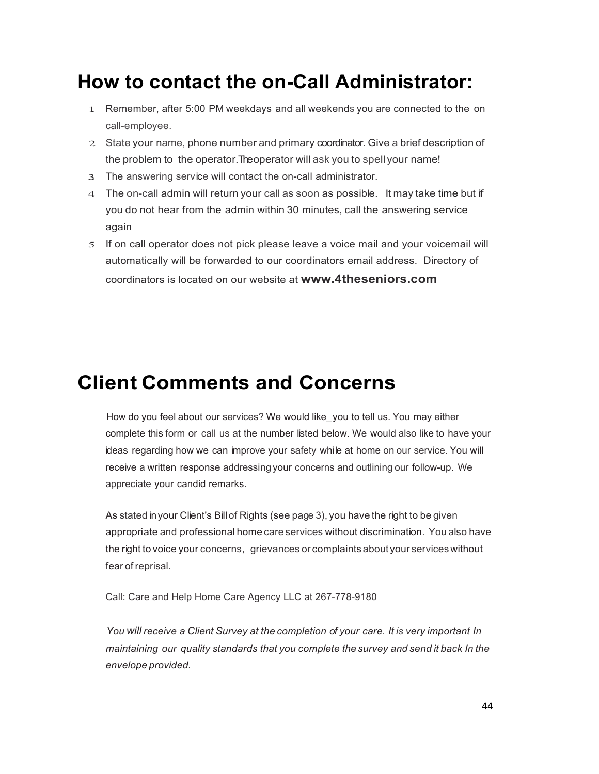## **How to contact the on-Call Administrator:**

- 1. Remember, after 5:00 PM weekdays and all weekends you are connected to the on call-employee.
- 2. State your name, phone number and primary coordinator. Give a brief description of the problem to the operator. The operator will ask you to spell your name!
- 3. The answering service will contact the on-call administrator.
- 4. The on-call admin will return your call as soon as possible. It may take time but if you do not hear from the admin within 30 minutes, call the answering service again
- 5. If on call operator does not pick please leave a voice mail and your voicemail will automatically will be forwarded to our coordinators email address. Directory of coordinators is located on our website at **www.4theseniors.com**

### **Client Comments and Concerns**

How do you feel about our services? We would like you to tell us. You may either complete this form or call us at the number listed below. We would also like to have your ideas regarding how we can improve your safety while at home on our service. You will receive a written response addressing your concerns and outlining our follow-up. We appreciate your candid remarks.

As stated inyour Client's Billof Rights (see page 3), you have the right to be given appropriate and professional home care services without discrimination. You also have the right to voice your concerns, grievances or complaints about your services without fear of reprisal.

Call: Care and Help Home Care Agency LLC at 267-778-9180

*You will receive a Client Survey at the completion of your care. It is very important In maintaining our quality standards that you complete the survey and send it back In the envelope provided.*